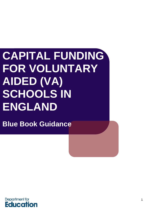# **CAPITAL FUNDING FOR VOLUNTARY AIDED (VA) SCHOOLS IN ENGLAND**

**Blue Book Guidance**

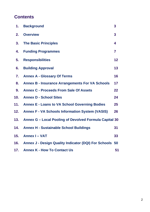# **Contents**

| 1.  | <b>Background</b>                                       | 3                       |
|-----|---------------------------------------------------------|-------------------------|
| 2.  | <b>Overview</b>                                         | $\overline{\mathbf{3}}$ |
| 3.  | <b>The Basic Principles</b>                             | 4                       |
| 4.  | <b>Funding Programmes</b>                               | $\overline{\mathbf{7}}$ |
| 5.  | <b>Responsibilities</b>                                 | 12                      |
| 6.  | <b>Building Approval</b>                                | 13                      |
| 7.  | <b>Annex A - Glossary Of Terms</b>                      | 16                      |
| 8.  | <b>Annex B - Insurance Arrangements For VA Schools</b>  | 17                      |
| 9.  | <b>Annex C - Proceeds From Sale Of Assets</b>           | 22                      |
| 10. | <b>Annex D - School Sites</b>                           | 24                      |
| 11. | <b>Annex E - Loans to VA School Governing Bodies</b>    | 25                      |
| 12. | <b>Annex F - VA Schools Information System (VASIS)</b>  | 26                      |
| 13. | Annex G - Local Pooling of Devolved Formula Capital 30  |                         |
| 14. | <b>Annex H - Sustainable School Buildings</b>           | 31                      |
| 15. | <b>Annex I - VAT</b>                                    | 33                      |
| 16. | Annex J - Design Quality Indicator (DQI) For Schools 50 |                         |
| 17. | <b>Annex K - How To Contact Us</b>                      | 51                      |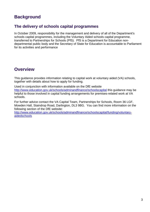# <span id="page-2-0"></span>**Background**

### **The delivery of schools capital programmes**

In October 2009, responsibility for the management and delivery of all of the Department's schools capital programmes, including the Voluntary Aided schools capital programme, transferred to Partnerships for Schools (PfS). PfS is a Department for Education nondepartmental public body and the Secretary of State for Education is accountable to Parliament for its activities and performance

### <span id="page-2-1"></span>**Overview**

This guidance provides information relating to capital work at voluntary aided (VA) schools, together with details about how to apply for funding.

Used in conjunction with information available on the DfE website <http://www.education.gov.uk/schools/adminandfinance/schoolscapital> this guidance may be helpful to those involved in capital funding arrangements for premises-related work at VA schools.

For further advice contact the VA Capital Team, Partnerships for Schools, Room 36 LGF, Mowden Hall, Staindrop Road, Darlington, DL3 9BG. You can find more information on the following section of the DfE website:

[http://www.education.gov.uk/schools/adminandfinance/schoolscapital/funding/voluntary](http://www.education.gov.uk/schools/adminandfinance/schoolscapital/funding/voluntary-aidedschools)[aidedschools](http://www.education.gov.uk/schools/adminandfinance/schoolscapital/funding/voluntary-aidedschools)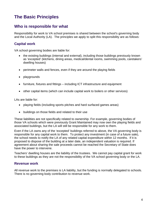# <span id="page-3-0"></span>**The Basic Principles**

### **Who is responsible for what**

Responsibility for work to VA school premises is shared between the school's governing body and the Local Authority (LA). The principles we apply to split this responsibility are as follows:

#### **Capital work**

VA school governing bodies are liable for:

- the existing buildings (internal and external), including those buildings previously known as 'excepted' (kitchens, dining areas, medical/dental rooms, swimming pools, caretakers' dwelling houses)
- perimeter walls and fences, even if they are around the playing fields
- playgrounds
- furniture, fixtures and fittings including ICT infrastructure and equipment
- other capital items (which can include capital work to boilers or other services)

LAs are liable for:

- playing fields (including sports pitches and hard surfaced games areas)
- buildings on those fields and related to their use

These liabilities are not specifically related to ownership. For example, governing bodies of those VA schools which were previously Grant Maintained may now own the playing fields and associated buildings, but the LA will still be responsible for any work to them.

Even if the LA owns any of the 'excepted' buildings referred to above, the VA governing body is responsible for any capital work to them. To protect any investment (in case of a future sale), the school needs to notify the LA of any related capital expenditure within 12 months. If it is proposed to dispose of the building at a later date, an independent valuation is required. If agreement about sharing the sale proceeds cannot be reached the Secretary of State does have the power to intervene.

Teachers' dwelling houses are the liability of the trustees. We cannot pay capital grant for work to these buildings as they are not the responsibility of the VA school governing body or the LA.

#### **Revenue work**

All revenue work to the premises is LA liability, but the funding is normally delegated to schools. There is no governing body contribution to revenue work.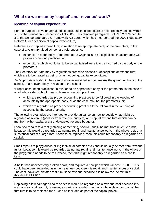### **What do we mean by 'capital' and 'revenue' work?**

#### **Meaning of capital expenditure**

For the purposes of voluntary aided schools, capital expenditure is most recently defined within s35 of the Education & Inspections Act 2006. This removed paragraph 3 of Part 2 of Schedule 3 to the School Standards & Framework Act 1998 (which had incorporated the 2002 Regulatory Reform Order definition of capital expenditure).

References to capital expenditure, in relation to an appropriate body or the promoters, in the case of a voluntary aided school, are references to;

- expenditure of the body or the promoters which falls to be capitalised in accordance with proper accounting practices; or;
- expenditure which would fall to be so capitalised were it to be incurred by the body or the promoters.

The Secretary of State may by regulations prescribe classes or descriptions of expenditure which are to be treated as being, or as not being, capital expenditure.

An "appropriate body", in the case of a voluntary aided school, means the governing body of the school, or a relevant body in relation to the school.

"Proper accounting practices", in relation to an appropriate body or the promoters, in the case of a voluntary aided school, means those accounting practices;

- which are regarded as proper accounting practices to be followed in the keeping of accounts by the appropriate body, or as the case may be, the promoters; or;
- which are regarded as proper accounting practices to be followed in the keeping of accounts by the Local Authority.

The following examples are intended to provide guidance on how to decide what might be regarded as revenue (paid for from revenue budgets) and capital expenditure (which can be met from either capital grant or delegated revenue budgets).

Localised repairs to a roof (patching or mending) should usually be met from revenue funds, because this would be regarded as normal repair and maintenance work. If the whole roof, or a substantial part of a large roof, needs to be replaced, then this could reasonably be regarded as capital.

Small repairs to playgrounds (filling individual potholes etc.) should usually be met from revenue funds, because this would be regarded as normal repair and maintenance work. If the whole of the playground needs to be resurfaced, then this might reasonably be regarded as a capital item.

A boiler has unexpectedly broken down, and requires a new part which will cost £1,800. This could have been regarded as either revenue (because it is repair and maintenance) or capital. The cost, however, dictates that it must be revenue because it is below the 'de minimis' threshold of £2,000.

Replacing a few damaged chairs or desks would be regarded as a revenue cost because it is normal wear and tear. If, however, as part of a refurbishment of a whole classroom, all of the furniture is to be replaced then it can be included as part of the capital project.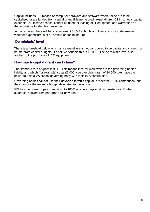Capital Includes - Purchase of computer hardware and software where these are to be capitalised or are funded from capital grant; E-learning credit expenditure; ICT in schools capital expenditure. However capital cannot be used for leasing of IT equipment and warranties as these must be funded from revenue.

In many cases, there will be a requirement for VA schools and their advisors to determine whether expenditure is of a revenue or capital nature.

#### **'De minimis' level**

There is a threshold below which any expenditure is not considered to be capital and should not be met from capital budgets. For all VA schools this is £2,000. The de minimis level also applies to the purchase of ICT equipment.

#### **How much capital grant can I claim?**

The standard rate of grant is 90%. This means that, for work which is the governing bodies liability and which (for example) costs £5,000, you can claim grant of £4,500. LAs have the power to help a VA school governing body with their 10% contribution.

Governing bodies cannot use their devolved formula capital to meet their 10% contribution, but they can use the revenue budget delegated to the school.

PfS has the power to pay grant at up to 100% only in exceptional circumstances. Further guidance is given from paragraph 51 onwards.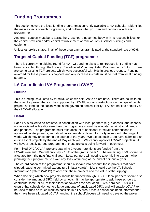# <span id="page-6-0"></span>**Funding Programmes**

This section covers the local funding programmes currently available to VA schools. It identifies the main aspects of each programme, and outlines what you can and cannot do with each programme.

Any grant support must be to assist the VA school's governing body with its responsibilities for the capital provision and/or capital refurbishment or renewal of VA school buildings and equipment.

Unless otherwise stated, in all of these programmes grant is paid at the standard rate of 90%.

### **Targeted Capital Funding (TCF) programme**

There is currently no bidding round for VA TCF, and no plans to reintroduce it. Funding has been redirected through the Locally Co-ordinated Voluntary Aided Programme (LCVAP). There are some existing TCF projects which were successful with bids in previous rounds. Funding awarded for these projects is capped, and any increase in costs must be met from local funding streams.

### **LA Co-ordinated VA Programme (LCVAP)**

#### **Outline**

This is funding, calculated by formula, which we ask LAs to co-ordinate. There are no limits on the size of a project that can be supported by LCVAP, nor any restrictions on the type of capital project, as long as the capital work is the governing bodies liability. LAs are notified annually of their LCVAP allocation.

#### **Detail**

Each LA is asked to co-ordinate, in consultation with local partners (e.g. dioceses, and schools not associated with a diocese), how the programme should be allocated against local needs and priorities. The programme must take account of additional formulaic contributions to approved capital projects, and should also provide sufficient flexibility to support other urgent works which may arise during the course of the year. We expect each LA to have submitted an outline list of projects by the end of May each year. We cannot approve LCVAP projects until we have a locally agreed programme of those projects going forward in each year.

For mixed DFC/LCVAP projects spanning 2 years, retentions are funded from the LCVAP element. We will only pay 97.5% of the grant in year 1. The remaining 2.5% should be allocated from the next financial year. Local partners will need to take this into account when planning their programme to avoid any 'loss' of funding at the end of a financial year.

The co-ordination of the programme should also take into account those projects that have slipped, causing committed expenditure in later year(s). LAs should use the VA Schools Information System (VASIS) to ascertain these projects and the value of the slippage.

When deciding which new projects should be funded through LCVAP, local partners should also consider the amount of DFC held by schools. It may be appropriate to ask those schools to contribute some, or all, of their allocation towards the cost of an LCVAP project. This will ensure that schools do not hold large amounts of unallocated DFC, and will enable LCVAP to be used to fund as much work as possible in a LA area. Once a school has been informed that they have been allocated LCVAP funding, the school/diocese will need to develop the project.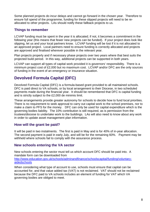Some planned projects do incur delays and cannot go forward in the chosen year. Therefore to ensure full spend of the programme, funding for these slipped projects will need to be reallocated to other projects. LAs should notify these fallback projects to us.

#### **Things to remember**

LCVAP funding must be spent in the year it is allocated; if not, it becomes a commitment in the following year (this means that fewer new projects can be funded). If your project does look like slipping, let us and your local partners know. LCVAP funding will be lost if it is not allocated to an approved project. Local partners need to ensure funding is correctly allocated and projects are approved and finalised wherever possible in the relevant year.

Plan projects properly and if necessary phase projects over two years where that best suits the projected build period. In this way, additional projects can be supported in both years.

LCVAP can support all types of capital work provided it is governors' responsibility. There is a minimum project cost of £2,000 but no maximum cost. LCVAP and/or DFC are the only sources of funding in the event of an emergency or insurance situation.

### **Devolved Formula Capital (DFC)**

Devolved Formula Capital (DFC) is a formula-based grant provided to all maintained schools. DFC is paid direct to VA schools, or by local arrangement to their Diocese, in two scheduled payments made during the financial year. It should be remembered that DFC is capital funding and is strictly subject to the £2,000 de minimis limit.

These arrangements provide greater autonomy for schools to decide how to fund local priorities. There is no requirement to seek approval to carry out capital work to the school premises, nor to make a claim to PFS for the money. DFC can only be used for capital expenditure which is the governing bodies liability. The 10% contribution is still required, as is permission from the trustees/diocese to undertake work to the buildings. LAs will also need to know about any work in order to update asset management plan information.

#### **How will the grant be paid?**

It will be paid in two instalments. The first is paid in May and is for 40% of in-year allocation. The second payment is paid in early July, and will be for the remaining 60%. Payment may be withheld where schools fail to comply with the assurance process.

#### **New schools entering the VA sector**

New schools entering the sector must tell us which account DFC should be paid into. A mandate form can be downloaded from [http://www.education.gov.uk/schools/adminandfinance/schoolscapital/funding/voluntary](http://www.education.gov.uk/schools/adminandfinance/schoolscapital/funding/voluntary-aidedschools)[aidedschools](http://www.education.gov.uk/schools/adminandfinance/schoolscapital/funding/voluntary-aidedschools)

When considering what type of account to use, schools must ensure that capital can be accounted for, and that value added tax (VAT) is not reclaimed. VAT should not be reclaimed because the DFC paid to VA schools includes an element of funding for VAT which VA governing bodies are obliged to meet.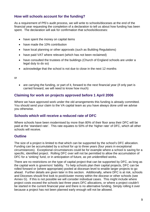#### **How will schools account for the funding?**

As a requirement of PfS's audit process, we will write to schools/dioceses at the end of the financial year requesting the completion of a declaration to tell us about how funding has been spent. The declaration will ask for confirmation that schools/dioceses:

- have spent the money on capital items
- have made the 10% contribution
- have local planning or other approvals (such as Building Regulations)
- have paid VAT where relevant (which has not been reclaimed)
- have consulted the trustees of the buildings (Church of England schools are under a legal duty to do so)
- acknowledge that the school is not due to close in the next 12 months

or

• are carrying the funding, or part of it, forward to the next financial year (if only part is carried forward, we will need to know how much)

#### **Claiming for work on projects approved before 1 April 2006**

Where we have approved work under the old arrangements this funding is already committed. You should send your claim to the VA capital team as you have always done until we advise you otherwise.

#### **Schools which will receive a reduced rate of DFC**

Where schools have been modernised by more than 80% of their floor area their DFC will be paid at the 'standard rate'. This rate equates to 50% of the 'higher rate' of DFC, which all other schools will receive.

#### **Outline**

The size of a project is limited to that which can be supported by the school's DFC allocation. Funding can be accumulated by a school for up to three years (four years in exceptional circumstances). Exceptional circumstances could be for example where a school is saving for a specific, identified project. Rolling DFC over will not be permitted to allow the accumulation of DFC for a 'sinking' fund, or in anticipation of future, as yet unidentified works.

There are no restrictions on the type of capital project that can be supported by DFC, as long as the capital work is governors' liability. To help schools plan their capital projects, DFC can be rolled forward or (where appropriate) pooled at diocesan level to enable larger projects to go ahead. Further details are given later in this section. Additionally, where DFC is at risk, schools and Dioceses should first look to pool/cluster money within the diocese or other schools (see Annex G). If this is not possible we will consider individual cases. This might include where project costs exceed the schools last three years DFC allocations, or where a project couldn't be started in the current financial year and there is no alternative funding. Simply rolling it over because a project has not been planned early enough will not be allowed.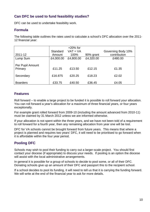### **Can DFC be used to fund feasibility studies?**

DFC can be used to undertake feasibility work.

#### **Formula**

The following table outlines the rates used to calculate a school's DFC allocation over the 2011- 12 financial year:

|                  |           | $+20\%$ for |           |                    |
|------------------|-----------|-------------|-----------|--------------------|
|                  | Standard  | $VAT = VA$  |           | Governing Body 10% |
| 2011-12          | Amount    | 100%        | 90% grant | contribution       |
| Lump Sum         | £4,000.00 | £4,800.00   | £4,320.00 | £480.00            |
| Per Pupil Amount |           |             |           |                    |
| Primary          | £11.25    | £13.50      | £12.15    | £1.35              |
| Secondary        | £16,875   | £20.25      | £18.23    | £2.02              |
| <b>Boarders</b>  | £33.75    | £40.50      | £36.45    | £4.05              |

#### **Features**

Roll forward – to enable a large project to be funded it is possible to roll forward your allocation. You can roll forward a year's allocation for a maximum of three financial years, or four years exceptionally.

For example grant rolled forward from 2009-10 (including the amount advanced from 2010-11) must be claimed by 31 March 2012 unless we are informed otherwise.

If your allocation is not spent within the three years, and we have not been told of a requirement to roll forward for a fourth year, then any remaining allocation from year one will be lost.

DFC for VA schools cannot be brought forward from future years. This means that where a project is planned and requires two years' DFC, it will need to be prioritised to go forward when it is affordable within the four year period.

### **Pooling DFC**

Schools may wish to pool their funding to carry out a larger-scale project. You should first contact your diocese (if appropriate) to discuss your needs. If pooling is an option the diocese will assist with the local administrative arrangements.

In general it is possible for a group of schools to decide to pool some, or all of their DFC. Donating schools give up an amount of their DFC and passport this to the recipient school.

If a school decides to pool its funding, it will need to tell us that it is carrying the funding forward. We will write at the end of the financial year to ask for more details.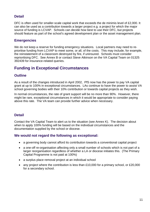#### **Detail**

DFC is often used for smaller-scale capital work that exceeds the de minimis level of £2,000. It can also be used as a contribution towards a larger project e.g. a project for which the major source of funding is LCVAP. Schools can decide how best to use their DFC, but projects should feature as part of the school's agreed development plan or the asset management plan.

#### **Emergencies**

We do not keep a reserve for funding emergency situations. Local partners may need to reprioritise funding from LCVAP to meet some, or all, of the costs. This may include, for example, the reinstatement of a classroom destroyed by fire, if uninsured. Schools must consider reprioritising DFC. See Annex B or contact Steve Atkinson on the VA Capital Team on 01325 392439 for insurance-related queries.

### **Funding in Exceptional Circumstances**

#### **Outline**

As a result of the changes introduced in April 2002, PfS now has the power to pay VA capital grant at up to 100% in exceptional circumstances. LAs continue to have the power to assist VA school governing bodies with their 10% contribution or towards capital projects as they wish.

In normal circumstances, the rate of grant support will be no more than 90%. However, there might be rare, exceptional circumstances in which it would be appropriate to consider paying above this rate. The VA team can provide further advice when necessary.

#### **Detail**

Contact the VA Capital Team to alert us to the situation (see Annex K). The decision about when to apply 100% funding will be based on the individual circumstances and the documentation supplied by the school or diocese.

#### **We would not regard the following as exceptional:**

- a governing body cannot afford its contribution towards a conventional capital project
- a one-off re-organisation affecting only a small number of schools which is not part of a larger reorganisation regardless of whether a LA or diocese initiates this. (The Primary Capital Programme is not paid at 100%)
- a surplus place removal project at an individual school
- any project where the contribution is less than £10,000 for a primary school, or £20,000 for a secondary school.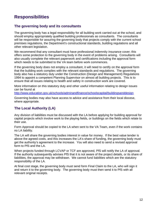### <span id="page-11-0"></span>**Responsibilities**

#### **The governing body and its consultants**

The governing body has a legal responsibility for all building work carried out at the school, and should employ appropriately qualified building professionals as consultants. The consultants will be responsible for assuring the governing body that projects comply with the current school premises regulations, the Department's constructional standards, building regulations and all other relevant legislation.

We recommend that any consultant must have professional indemnity insurance cover; this offers some protection to the governing body in the event of problems arising. Consultants will also usually complete the relevant paperwork and certifications including the approval form which needs to be submitted to the VA team before work commences.

If the governing body does not employ a consultant, it will need to certify on the approval form that the building work complies with the relevant standards and regulations. The governing body also has a statutory duty under the Construction (Design and Management) Regulations 1994 to appoint a competent Planning Supervisor on almost all building projects. This is to ensure that all issues relating to health and safety in construction work are covered.

More information on this statutory duty and other useful information relating to design issues can be found at

<http://www.education.gov.uk/schools/adminandfinance/schoolscapital/buildingsanddesign>

Governing bodies may also have access to advice and assistance from their local diocese, where appropriate.

#### **The Local Authority (LA)**

Any division of liabilities must be discussed with the LA before applying for building approval for capital projects which involve work to the playing fields, or buildings on the fields which relate to their use.

Form Approval should be copied to the LA when sent to the VA Team, even if the work contains no LA liability.

The LA will share the governing bodies interest in value for money. If the best value tender is above the agreed costs, and this increases the LA's share of funding, the governing body must get the authority's agreement to the increase. You will also need to send a revised approval form to PfS and the LA.

When projects funded through LCVAP or TCF are approved, PfS will notify the LA of approval. If the authority subsequently advises PfS that it is not aware of the project details, or its share of liabilities, the approval may be withdrawn. We cannot fund liabilities which are the statutory responsibility of the LA.

At final cost stage, the governing body must send form Final Claim to the LA, who will sign it and return it to the governing body. The governing body must then send it to PfS with all relevant original receipts.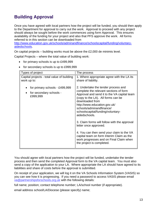# <span id="page-12-0"></span>**Building Approval**

Once you have agreed with local partners how the project will be funded, you should then apply to the Department for approval to carry out the work. Approval to proceed with any project should always be sought before the work commences using form Approval. This ensures availability of the funding for your project and also that PFS approve the work. All forms referred to in this section can be downloaded from

[http://www.education.gov.uk/schools/adminandfinance/schoolscapital/funding/voluntary](http://www.education.gov.uk/schools/adminandfinance/schoolscapital/funding/voluntary-aidedschools)[aidedschools.](http://www.education.gov.uk/schools/adminandfinance/schoolscapital/funding/voluntary-aidedschools)

On capital projects – building works must be above the £2,000 de minimis level.

Capital Projects – where the total value of building work:

- for primary schools is up to £499,999
- for secondary schools is up to £999,999

| Types of project                                                      | The process                                                                                                                                                                                                                                                                                                                                                                                                                                                                                                                                        |
|-----------------------------------------------------------------------|----------------------------------------------------------------------------------------------------------------------------------------------------------------------------------------------------------------------------------------------------------------------------------------------------------------------------------------------------------------------------------------------------------------------------------------------------------------------------------------------------------------------------------------------------|
| Capital projects - total value of building<br>work up to:             | 1. Where appropriate agree with the LA its<br>share of liability.                                                                                                                                                                                                                                                                                                                                                                                                                                                                                  |
| for primary schools - £499,999<br>for secondary schools -<br>£999,999 | 2. Undertake the tender process and<br>complete the relevant sections of form<br>Approval and send it to the VA capital team<br>(copy to the LA). All forms can be<br>downloaded from<br>http://www.education.gov.uk/<br>schools/adminandfinance/<br>schoolscapital/funding/voluntary-<br>aidedschools.<br>3. Claim forms will follow with the approval<br>letter once approved.<br>4. You can then send your claim to the VA<br>capital team on form Interim Claim as the<br>work progresses and on Final Claim when<br>the project is completed. |

You should agree with local partners how the project will be funded, undertake the tender process and then send the completed Approval form to the VA capital team. You must also send a copy of the application to your LA. Where appropriate the LA should have agreed to its liabilities and share of costs before the approval is submitted.

On receipt of your application, we will log it on the VA Schools Information System (VASIS) so you can see how it is progressing. If you need a password to access VASIS please email [va@partnershipsforschools.org.uk](mailto:va@partnershipsforschools.org.uk) with the following details:

full name; position; contact telephone number; LA/school number (if appropriate).

email address school/LA/Diocese (please specify) name;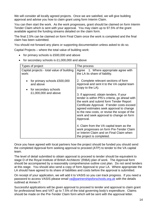We will consider all locally agreed projects. Once we are satisfied, we will give building approval and advise you how to claim grant using form Interim Claim.

You can then start the work. As the work progresses, grant should be claimed on form Interim Tender Claim which is sent with your approval. You may claim up to 97.5% of the grant available against the funding streams detailed on the claim form.

The final 2.5% can be claimed on form Final Claim once the work is completed and the final claim has been submitted.

You should not forward any plans or supporting documentation unless asked to do so.

Capital Projects – where the total value of building work:

- for primary schools is £500,000 and above
- for secondary schools is £1,000,000 and above

| Types of project                                                                           | The process                                                                                                                                                                                                                                                                                                                                                                                                                                           |
|--------------------------------------------------------------------------------------------|-------------------------------------------------------------------------------------------------------------------------------------------------------------------------------------------------------------------------------------------------------------------------------------------------------------------------------------------------------------------------------------------------------------------------------------------------------|
| Capital projects - total value of building<br>work:                                        | Agree 1. Where appropriate agree with<br>the LA its share of liability.                                                                                                                                                                                                                                                                                                                                                                               |
| for primary schools £500,000<br>and above<br>for secondary schools<br>£1,000,000 and above | 2. Complete relevant sections of form<br>Approval and sent it to the VA capital team<br>(copy to the LA).<br>3. If approved, obtain tenders. If your<br>tender is within PfS's criteria, go ahead with<br>the work and submit form Tender Report<br>Certificate Approval. If tender costs exceed<br>agreed estimates seek approval to change<br>to the new costs, or revise the scope of the<br>work and seek approval to change on form<br>Approval. |
|                                                                                            | 4. Claim from the VA capital team as the<br>work progresses on form Pre-Tender Claim<br>or Interim Claim and on Final Claim when<br>the project is completed.                                                                                                                                                                                                                                                                                         |

Once you have agreed with local partners how the project should be funded you should send the completed Approval form seeking approval to proceed (ATP) to tender to the VA capital team.

The level of detail submitted to obtain approval to proceed to tender should be equivalent to stage D of the Royal Institute of British Architects' (RIBA) plan of work. The Approval form should be accompanied by a reasonably comprehensive outline cost plan. Do not send tenders at this stage. You should also send a copy of form Approval to your LA. Where appropriate the LA should have agreed to its share of liabilities and costs before the approval is submitted.

On receipt of your application, we will add it to VASIS so you can track progress. If you need a password to access VASIS please email [va@partnershipsforschools.org.uk](mailto:va@partnershipsforschools.org.uk) with the details outlined at Annex F.

Successful applications will be given approval to proceed to tender and approval to claim grant for professional fees and VAT up to 7.5% of the total governing body's expenditure. Claims should be made on the Pre-Tender Claim form which will be sent with the approval letter.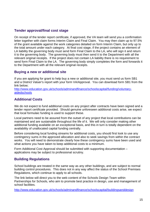#### **Tender approval/final cost stage**

On receipt of the tender report certificate, if approved, the VA team will send you a confirmation letter together with claim forms Interim Claim and Final Claim. You may then claim up to 97.5% of the grant available against the work categories detailed on form Interim Claim, but only up to the total amount under each category. At final cost stage, if the project contains an element of LA liability the governing body must send form Final Claim to the LA, who will sign it and return it to the governing body. The governing body must then send it to the Department with all the relevant original receipts. If the project does not contain LA liability there is no requirement to send form Final Claim to the LA. The governing body simply completes the form and forwards it to the Department with all the relevant original receipts.

#### **Buying a new or additional site**

If you are applying for grant to help buy a new or additional site, you must send us form SB1 and a District Valuer's report with your form VA/Approval. You can download form SB1 from the link below;

[http://www.education.gov.uk/schools/adminandfinance/schoolscapital/funding/voluntary](http://www.education.gov.uk/schools/adminandfinance/schoolscapital/funding/voluntary-aidedschools)[aidedschools](http://www.education.gov.uk/schools/adminandfinance/schoolscapital/funding/voluntary-aidedschools)

### **Additional Costs**

We do not expect to fund additional costs on any project after contracts have been signed and a tender report certificate provided. Should genuine unforeseen additional costs arise, we expect that local formulaic funding is used to support these.

Local partners need to be assured from the outset of any project that local contributions can be maintained and are sustainable throughout the life of it. We will only consider making other additional funding available on an exceptional basis, and this in turn is totally dependent on the availability of unallocated capital funding centrally.

Before considering local funding streams for additional costs, you should first look to use any contingency sums in the approved allocation and also to seek savings from within the contract works. You will need to demonstrate clearly how these contingency sums have been used and what actions you have taken to keep additional costs to a minimum.

Form Additional Cost Approval should be submitted with supporting documentation – applications may be subject to professional scrutiny.

#### **Building Regulations**

School buildings are treated in the same way as any other buildings, and are subject to normal building control procedures. This does not in any way affect the status of the School Premises Regulations, which continue to apply to all schools.

The link below will direct you to the web content of the Schools Design Team within Partnerships for Schools, who aim to promote best practice in design, use and management of school facilities.

<http://www.education.gov.uk/schools/adminandfinance/schoolscapital/buildingsanddesign>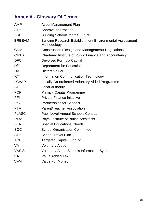# <span id="page-15-0"></span>**Annex A - Glossary Of Terms**

| <b>AMP</b>    | <b>Asset Management Plan</b>                                                   |
|---------------|--------------------------------------------------------------------------------|
| <b>ATP</b>    | <b>Approval to Proceed</b>                                                     |
| <b>BSF</b>    | <b>Building Schools for the Future</b>                                         |
| <b>BREEAM</b> | <b>Building Research Establishment Environmental Assessment</b><br>Methodology |
| <b>CDM</b>    | Construction (Design and Management) Regulations                               |
| <b>CIPFA</b>  | Chartered Institute of Public Finance and Accountancy                          |
| <b>DFC</b>    | Devolved Formula Capital                                                       |
| <b>DfE</b>    | Department for Education                                                       |
| <b>DV</b>     | <b>District Valuer</b>                                                         |
| <b>ICT</b>    | <b>Information Communication Technology</b>                                    |
| <b>LCVAP</b>  | Locally Co-ordinated Voluntary Aided Programme                                 |
| LA            | <b>Local Authority</b>                                                         |
| <b>PCP</b>    | <b>Primary Capital Programme</b>                                               |
| <b>PFI</b>    | <b>Private Finance Initiative</b>                                              |
| <b>PfS</b>    | <b>Partnerships for Schools</b>                                                |
| <b>PTA</b>    | <b>Parent/Teacher Association</b>                                              |
| <b>PLASC</b>  | <b>Pupil Level Annual Schools Census</b>                                       |
| <b>RIBA</b>   | Royal Institute of British Architects                                          |
| <b>SEN</b>    | <b>Special Educational Needs</b>                                               |
| <b>SOC</b>    | <b>School Organisation Committee</b>                                           |
| <b>STP</b>    | School Travel Plan                                                             |
| <b>TCF</b>    | <b>Targeted Capital Funding</b>                                                |
| <b>VA</b>     | <b>Voluntary Aided</b>                                                         |
| <b>VASIS</b>  | <b>Voluntary Aided Schools Information System</b>                              |
| <b>VAT</b>    | <b>Value Added Tax</b>                                                         |
| <b>VFM</b>    | <b>Value For Money</b>                                                         |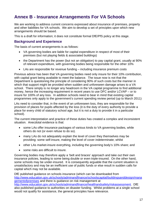# <span id="page-16-0"></span>**Annex B - Insurance Arrangements For VA Schools**

We are working to address current concerns expressed about insurance of premises, property and other liabilities for VA schools. We aim to develop a set of principles upon which new arrangements should be based.

This is a draft for information; it does not constitute formal DfE/PfS policy at this stage.

#### **Background and Experience**

The basis of current arrangements is as follows:

- VA governing bodies are liable for capital expenditure in respect of most of their premises (but not playing fields & associated buildings)
- the Department has the power (but not an obligation) to pay capital grant, usually at 90% of relevant expenditure, with governing bodies being responsible for the other 10%
- LAs are responsible for revenue funding including insurance premium costs

Previous advice has been that VA governing bodies need only insure for their 10% contribution, with capital grant being available to meet the balance. The issue now is not that the Department is questioning the principle of considering 90% of such costs but the manner in which that support might be provided when sudden and unforeseen damage arises to a VA school. There simply is no longer any headroom in the VA capital programme to find additional money, hence the increasing requirement in recent years to use DFC and/or LCVAP – or to insure for 100% of any loss. In addition schools need to bear in mind that existing capital programmes only apply to the government's current spending review period (up to March 2011)

LAs need to consider that, in the event of an unforeseen loss, they are responsible for the provision of places for pupils affected by the loss (it is the duty of every authority to provide a place for every child of statutory school age, but it is not a duty to provide it in a particular school).

The current interpretation and practice of these duties has created a complex and inconsistent situation. Anecdotal evidence is that:

- some LAs offer insurance packages of various kinds to VA governing bodies, while others do not (or even refuse to do so).
- many LAs do not adequately explain the level of cover they themselves may be providing: some self-insure, making the level of cover indeterminate; whilst
- other LAs market-insure everything, including the governing body's 10% share; and
- some risks are difficult to insure.

Governing bodies may therefore apply a 'belt and braces' approach and take out their own insurance policies, leading to some being double or even triple-insured. On the other hand, some schools may be under-insured. It is consequently arguable that the current situation is unsatisfactory and may be an inefficient use of public funds or else result in sudden calls for capital which may not be available.

DfE published guidance on schools insurance (which can be downloaded from [http://www.education.gov.uk/schools/adminandfinance/schoolscapital/buildingsanddesign/mana](http://www.education.gov.uk/schools/adminandfinance/schoolscapital/buildingsanddesign/managementofpremises) [gementofpremises](http://www.education.gov.uk/schools/adminandfinance/schoolscapital/buildingsanddesign/managementofpremises) and there is guidance on risk management at [http://www.education.gov.uk/schools/adminandfinance/healthandsafety/riskassessment.](http://www.education.gov.uk/schools/adminandfinance/healthandsafety/riskassessment) DfE also published guidance to authorities on disaster funding. Whilst problems at a single school would not qualify for assistance, the general principles have relevance.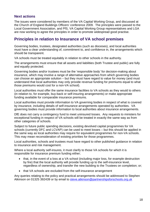#### **Next actions**

The issues were considered by members of the VA Capital Working Group, and discussed at the Church of England Buildings Officers' conference 2009. The principles were passed to the Local Government Association, and PfS, VA Capital Working Group representatives and LGA are now working to agree the principles in order to promote widespread good practise.

### **Principles in relation to Insurance of VA school premises**

Governing bodies, trustees, designated authorities (such as dioceses), and local authorities must have a clear understanding of, commitment to, and confidence in, the arrangements which should be transparent.

VA schools must be treated equitably in relation to other schools in the authority.

The arrangements must ensure that all assets and liabilities (both Trustee and public) are fully and equally protected.

Governing bodies and/or trustees must be the 'responsible body' for decision-making about insurance, which may involve a range of alternative approaches from which governing bodies can choose an appropriate solution – but they must have regard to value for money (and must understand that local authorities may only provide revenue funding for premiums equal to what those premiums would cost for a non-VA school).

Local authorities must offer the same insurance facilities to VA schools as they would to others (in relation to, for example, buy-back or self-insuring arrangements) or make appropriate funding available for comparable insurance premiums.

Local authorities must provide information to VA governing bodies in respect of what is covered by insurance, including details of self-insurance arrangements operated by authorities. VA governing bodies must provide information to local authorities about insurance arrangements.

DfE does not carry a contingency fund to meet uninsured losses. Any requests to ministers for exceptional funding in respect of VA schools will be treated in exactly the same way as from other categories of schools.

Subject to future public spending decisions, existing devolved capital programmes for VA schools (currently DFC and LCVAP) can be used to meet losses – but this should be applied in the same way as local authorities may require for equivalent programmes for non-VA schools. This may mean reconsideration of existing priorities for those programmes.

Local authorities, schools and trustees must have regard to other published guidance in relation to insurance and risk management.

Where a local authority self-insures, it must clarify to those VA schools for which it is responsible for insurance premium funding either;

- that, in the event of a loss at a VA school (including major loss, for example destruction by fire) that the local authority will provide funding up to the self-insurance level, regardless of ownership, and transfer the new building to the Trustees on completion; or;
- that VA schools are excluded from the self-insurance arrangement

Any queries relating to the policy and practical arrangements should be addressed to Stephen Atkinson on 01325 392439 or by email to [steve.atkinson@partnershipsforschools.o](mailto:steve.atkinson@partnershipsforschools.)rg.uk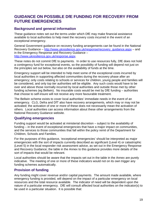### **GUIDANCE ON POSSIBLE DfE FUNDING FOR RECOVERY FROM FUTURE EMERGENCIES**

#### **Background and general information**

These guidance notes set out the terms under which DfE may make financial assistance available to local authorities to help meet the recovery costs incurred in the event of an exceptional emergency.

General Government guidance on recovery funding arrangements can be found in the National Recovery Guidance – [http://www.ukresilience.gov.uk/response/recovery\\_guidance.aspx](http://www.ukresilience.gov.uk/response/recovery_guidance.aspx) – and in the Emergency Response and Recovery Guidance – [http://www.ukresilience.gov.uk/response.aspx.](http://www.ukresilience.gov.uk/response.aspx)

These notes do not commit DfE to payments. In order to use resources fully, DfE does not hold a contingency fund for exceptional events, so the possibility of funding will depend not just on the principles set out below, but also on the availability of funds at the time.

Emergency support will be intended to help meet some of the exceptional costs incurred by local authorities in supporting affected communities during the recovery phase after an emergency; only costs relating to schools or services for children, young people and families will be considered, and only top tier authorities will be eligible. Any such costs would have to be over and above those normally incurred by local authorities and outside those met by other funding schemes (eg Bellwin). No insurable costs would be met by DfE funding – authorities that choose to self-insure will not receive any more favourable treatment.

The Bellwin scheme exists to cover local authorities' immediate needs in the event of an emergency. CLG, Defra and DfT also have recovery arrangements, which may or may not be activated; the activation of one or more of these does not necessarily mean the activation of others. Local authorities can access information about these other arrangements from the National Recovery Guidance website.

#### **Qualifying emergencies**

Funding support would be activated at ministerial discretion – subject to the availability of funding – in the event of exceptional emergencies that have a major impact on communities, and the services to those communities that fall within the policy remit of the Department for Children, Schools and Families.

For the purposes of this guidance, 'exceptional emergencies' should be interpreted as major emergencies with the sort of impacts currently described as significant (Level 4) or catastrophic (Level 5) in the local responder risk assessment advice, as set out in the Emergency Response and Recovery Guidance; the table in the Annex to this guidance provides more details of the sort of impacts that would be relevant.

Local authorities should be aware that the impacts set out in the table in the Annex are purely indicative. The meeting of one or more of these indicators would not on its own trigger any funding schemes automatically.

#### **Provision of funding**

Any funding might cover revenue and/or capital payments. The amount made available, where emergency funding is provided, will depend on the impact of a particular emergency on local resources and the total resource available. The indicator of need will be dependent upon the nature of a particular emergency. DfE will consult affected local authorities on the indicator(s) to be used in a particular situation. It is possible that: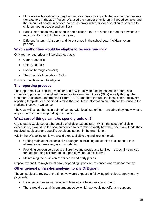- More accessible indicators may be used as a proxy for impacts that are hard to measure (for example in the 2007 floods, DfE used the number of children in flooded schools, and the amount of people in flooded homes as proxy indicators for disruption to services to children, young people and families);
- Partial information may be used in some cases if there is a need for urgent payments to minimise disruption to the school year;
- Different factors might apply at different times in the school year (holidays, exam periods).

#### **Which authorities would be eligible to receive funding?**

Only top-tier authorities will be eligible, that is:

- County councils:
- Unitary council;
- London borough councils;
- The Council of the Isles of Scilly.

District councils will not be eligible.

#### **The reporting process**

The Department will consider whether and how to activate funding based on reports and information provided by local authorities via Government Offices (GOs) – firstly through the Common Recognised Information Picture (CRIP) and then through the local: central recovery reporting template, or a modified version thereof. More information on both can be found in the National Recovery Guidance.

The GOs will act as the main point of contact with local authorities – ensuring they know what is required of them and responding to enquiries.

#### **What sort of things can LAs spend grants on?**

Grant letters would set out the details of eligible expenditure. Within the scope of eligible expenditure, it would be for local authorities to determine exactly how they spent any funds they received, subject to any specific conditions set out in the grant letter.

Within the DfE policy remit, we would expect eligible expenditure to include:

- Getting maintained schools of all categories including academies back open or into alternative or temporary accommodation;
- Providing support services to children, young people and families especially services for safeguarding children and supporting vulnerable children);
- Maintaining the provision of childcare and early places.

Capital expenditure might be eligible, depending upon circumstances and value for money.

#### **Other general principles applying to any DfE grant**

Though subject to review at the time, we would expect the following principles to apply to any payments:

- Local authorities would be able to take school balances into account;
- There would be a minimum amount below which we would not offer any support;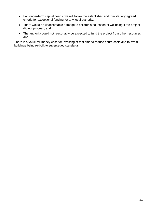- For longer-term capital needs, we will follow the established and ministerially agreed criteria for exceptional funding for any local authority:
- There would be unacceptable damage to children's education or wellbeing if the project did not proceed; and
- The authority could not reasonably be expected to fund the project from other resources; and

There is a value-for-money case for investing at that time to reduce future costs and to avoid buildings being re-built to superseded standards.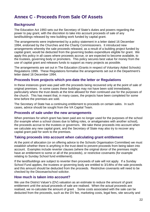# <span id="page-21-0"></span>**Annex C - Proceeds From Sale Of Assets**

#### **Background**

The Education Act 1993 sets out the Secretary of State's duties and powers regarding the power to pay grant, with the discretion to take into account proceeds of sale of any land/buildings released by new building work funded by capital grant.

The arrangements were implemented by a policy statement in a letter dated 16 December 1994, endorsed by the Churches and the Charity Commissioners. It introduced new arrangements whereby the sale proceeds released, as a result of a building project funded by capital grant, would be deducted from the governing bodies expenditure eligible for grant. We apply this policy in all cases where proceeds accrue, or are expected to become available, to the trustees, governing body or promoters. This policy secures best value for money from the use of capital grant and releases funds to support as many projects as possible.

The arrangements are set out in The Education (Grants in respect of Voluntary Aided Schools) Regulations 1999. These Regulations formalise the arrangements set out in the Department's letter dated 16 December 1994.

#### **Proceeds from projects which pre-date the letter or Regulations**

In these instances grant was paid with the proceeds being recovered only at the point of sale of original premises. In some cases these buildings may not have been sold immediately, particularly where the trust deeds at the time allowed for their continued use for the purposes of the church. This has meant that, in many cases, the projects have been completed for some time before the premises are sold.

The Secretary of State has a continuing entitlement to proceeds on certain sales. In such cases, advice should be sought from the VA Capital Team.

#### **Proceeds of sale under the new arrangements**

When premises for which grant has been paid are no longer used for the purposes of the school (for example when a school closes due to falling roles, or amalgamates with another school), the proceeds accrue to the trustees or governors. We take these proceeds into account when we calculate any new capital grant, and the Secretary of State may also try to recover any capital grant paid for work to the premises.

#### **Taking proceeds into account when calculating grant entitlement**

At the point of allocation (or on offering advice to the Schools Organisation Committee) we must establish whether there is anything in the trust deed to prevent proceeds from being taken into account. Examples include reverter clauses (where the original donor of the premises might have an entitlement to some or all of the proceeds), or restrictive covenants (for example relating to Sunday School fund entitlement).

If the land/buildings are subject to reverter then proceeds of sale will not apply. If a Sunday School Fund applies, the trustees or governing body are entitled to 3/14ths of the sale proceeds and this amount should be deducted from the proceeds. Restrictive covenants will need to be checked by the Diocesan/school solicitor.

#### **How much is taken into account?**

We use the District Valuer's (DV) valuation as an estimate to reduce the amount of grant entitlement until the actual proceeds of sale are realised. When the actual proceeds are realised, we re-calculate the amount of grant . Some costs associated with the sale can be deducted from the proceeds, such as the DV fee, marketing costs, legal fees, site security and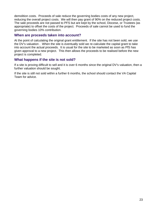demolition costs. Proceeds of sale reduce the governing bodies costs of any new project, reducing the overall project costs. We will then pay grant of 90% on the reduced project costs. The sale proceeds are not passed to PFS but are kept by the school, Diocese, or Trustees (as appropriate) to offset the costs of the project. Proceeds of sale cannot be used to fund the governing bodies 10% contribution.

#### **When are proceeds taken into account?**

At the point of calculating the original grant entitlement. If the site has not been sold, we use the DV's valuation . When the site is eventually sold we re-calculate the capital grant to take into account the actual proceeds. It is usual for the site to be marketed as soon as PfS has given approval to a new project. This then allows the proceeds to be realised before the new project is completed.

#### **What happens if the site is not sold?**

If a site is proving difficult to sell and it is over 6 months since the original DV's valuation, then a further valuation should be sought.

If the site is still not sold within a further 6 months, the school should contact the VA Capital Team for advice.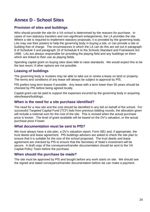# <span id="page-23-0"></span>**Annex D - School Sites**

#### **Provision of sites and buildings**

Who should provide the site for a VA school is determined by the reasons for purchase. In cases of non-statutory transfers and non-significant enlargements, the LA provides the site. Where a site is required to implement statutory proposals, it is provided by the governing body. LAs may use their powers to help the governing body in buying a site, or can provide a site or building free of charge. The circumstances in which the LA can do this are set out in paragraph 8 of Schedule 3 and paragraph 19 of Schedule 6 to the Schools Standard and Framework Act 1998. LAs are always responsible for providing the playing field and any buildings on them which are linked to their use as playing fields.

Spending capital grant on buying sites does little to raise standards. We would expect this to be the last resort, if other options are not possible.

#### **Leasing of buildings**

The governing body or trustees may be able to take out or renew a lease on land or property. The terms and conditions of any lease will always be subject to approval by PfS.

PfS prefers long term leases if possible. Any lease with a term lower than 50 years should be checked by PfS before being agreed locally.

Capital grant can be paid to support the expenses incurred by the governing body in acquiring sites/leases/buildings.

#### **When is the need for a site purchase identified?**

The need for a new site and the cost should be identified in any bid on behalf of the school. For successful Targeted Capital Fund (TCF) bids from previous bidding rounds, the allocation given will include a notional sum for the cost of the site. This is revised when the actual purchase price is known. The level of grant available will be based on the DV's valuation, or the actual purchase price if lower.

#### **What documentation must be sent to PfS?**

We must always have a site plan, a DV's valuation report, Form SB1 and, if appropriate, the trust deeds and lease agreement. PfS buildings advisers are asked to check the site plan to ensure that it is suitable for the size of the school proposed. The trust deeds and lease agreement are checked by PfS to ensure that the Secretary of State's investment will be secure. A draft copy of the conveyance/transfer documentation should be sent to the VA Capital Policy Team before the purchase.

#### **When should the purchase be made?**

The site must be approved by PfS and bought before any work starts on site. We should see the signed and dated conveyance/transfer documentation before we can make a payment.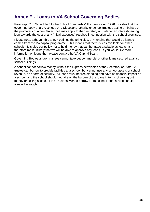### <span id="page-24-0"></span>**Annex E - Loans to VA School Governing Bodies**

Paragraph 7 of Schedule 3 to the School Standards & Framework Act 1998 provides that the governing body of a VA school, or a Diocesan Authority or school trustees acting on behalf, or the promoters of a new VA school, may apply to the Secretary of State for an interest-bearing loan towards the cost of any "initial expenses" required in connection with the school premises.

Please note: although this annex outlines the principles, any funding that would be loaned comes from the VA capital programme. This means that there is less available for other schools. It is also our policy not to hold money that can be made available as loans. It is therefore most unlikely that we will be able to approve any loans. If you would like more information on loans then please contact the VA Capital Team.

Governing Bodies and/or trustees cannot take out commercial or other loans secured against school buildings.

A school cannot borrow money without the express permission of the Secretary of State. A trustee can borrow to provide facilities at a school, but cannot use any school assets or school revenue, as a form of security. All loans must be free standing and have no financial impact on a school, and the school should not take on the burden of the loans in terms of paying out money or selling assets. If the Trustees wish to borrow for the school legal advice should always be sought.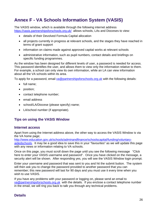# <span id="page-25-0"></span>**Annex F - VA Schools Information System (VASIS)**

The VASIS window, which is available through the following internet address <https://vasis.partnershipsforschools.org.uk/>allows schools, LAs and Dioceses to view:

- details of their Devolved Formula Capital allocation
- all projects currently in progress at relevant schools, and the stages they have reached in terms of grant support
- information on claims made against approved capital works at relevant schools
- administrative information, such as pupil numbers, contact details and briefings on specific funding programmes.

As the window has been designed for different levels of user, a password is needed for access. This password identifies the user, and allows them to view only the information relative to them. For example, a school can only view its own information, while an LA can view information about all the VA schools within its area.

To apply for a password, email [va@partnershipsforschools.org.uk](mailto:va@partnershipsforschools.org.uk) with the following details:

- full name;
- position;
- contact telephone number;
- email address
- school/LA/Diocese (please specify) name;
- LA/school number (if appropriate).

#### **Tips on using the VASIS Window**

#### **Internet access**

Apart from using the Internet address above, the other way to access the VASIS Window is via the VA home page;

[http://www.education.gov.uk/schools/adminandfinance/schoolscapital/funding/voluntary-](http://www.education.gov.uk/schools/adminandfinance/schoolscapital/funding/voluntary-aidedschools)

[aidedschools.](http://www.education.gov.uk/schools/adminandfinance/schoolscapital/funding/voluntary-aidedschools) It may be a good idea to save this in your "favourites" as we will update this page with any news or information relating to VA schools.

Once on this page, you must scroll down the page until you see the following message "Click here to enter your VASIS username and password". Once you have clicked on the message, a security alert will be shown. After responding yes, you will see the VASIS Window login prompt.

Enter your username and password that was sent to you and hit the submit button. The system will then ask you to change the password provided to another password that you can remember; this new password will last for 90 days and you must use it every time when you wish to use VASIS.

If you have any problems with your password or logging on, please send an email to [va@partnershipsforschools.org.uk](mailto:va@partnershipsforschools.org.uk) with the details. If you enclose a contact telephone number in the email, we will ring you back to talk you through any technical problems.

#### **Details**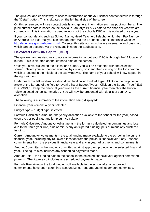The quickest and easiest way to access information about your school contact details is through the "Detail" button. This is situated on the left hand side of the screen.

On this screen you will see contact details and general information such as pupil numbers. The pupil number data is based on the previous Januarys PLASC data to the financial year we are currently in. This information is used to work out the schools DFC and is updated once a year.

If your contact details such as School Name, Head Teacher, Telephone Number, Fax Number or Address are incorrect you can change them via the Edubase Schools Interface website; [http://edubase.gov.uk/home.xhtml.](http://edubase.gov.uk/home.xhtml) To enter this site you must have a username and password. which can be obtained via the relevant links on the Edubase site.

#### **Devolved Formula Capital (DFC)**

The quickest and easiest way to access information about your DFC is through the "Allocations" button. This is situated on the left hand side of the screen.

Once you have clicked on the allocations button, you will be presented with the selection screen. Select your school (left window) by clicking on it and then clicking on the top chevron which is located in the middle of the two windows. The name of your school will now appear in the right window.

Underneath the left window is a drop down field called Budget Type. Click on the drop down arrow at the far end of the field to reveal a list of Budget Types. Click on the Budget Type "NDS DFC (90%)". Keep the financial year field as the current financial year then click the button "View selected school summaries". You will now be presented with details of your DFC allocation.

The following is a summary of the information being displayed:

Financial year – financial year selected

Budget type – budget type selected

Formula Calculated Amount - the yearly allocation available to the school for the year, based upon the per pupil rate and lump sum calculation

Formula Calculated Amount +/- Adjustments – the formula calculated amount minus any loss due to the three year rule, plus or minus any anticipated funding, plus or minus any clustered funding.

Current Amount +/- Adjustments – the total funding made available to the school in the current financial year, including any roll over allocation from the previous financial year, any unspent commitments from the previous financial year and any in year adjustments and commitments.

Amount Committed – the funding committed against approved projects in the selected financial year. The figure also includes any scheduled payments made.

Amount Paid – the funding paid to the school in the selected financial year against committed projects. The figure also includes any scheduled payments made.

Formula Remaining – the total funding still available to the school after all approved commitments have been taken into account i.e. current amount minus amount committed.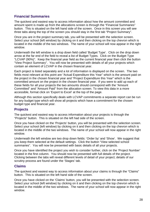#### **Financial Summaries**

The quickest and easiest way to access information about how the amount committed and amount spent is made up from the allocations screen is through the "Financial Summaries" button. This is situated on the left hand side of the screen. Once in this screen you will see three tabs along the top of the screen you should stay in the first tab "Project Summary".

Once you are in the project summary tab, you will be presented with the selection screen. Select your school (left window) by clicking on it and then clicking on the top chevron which is located in the middle of the two windows. The name of your school will now appear in the right window.

Underneath the left window is a drop down field called 'Budget Type'. Click on the drop down arrow at the far end of the field to reveal a list of Budget Types. Click on the Budget Type "LCVAP (90%)". Keep the financial year field as the current financial year then click the button "View Project Summary". You will now be presented with details of all your projects which contain an element of LCVAP in the chosen financial year.

Each project is listed separately and a lot of information is displayed on the screen. The two fields most relevant at this point are "Actual Expenditure this Year" which is the amount paid on the project in the chosen financial year and "Project Expenditure this Year" which is the committed amount on the project in the chosen financial year. If you were to add up each of these fields for all your projects the two amounts should correspond with the "Amount Committed" and "Amount Paid" from the allocation screen. To view this data in a more accessible, format click on 'Export to Excel' at the top of the page.

Although this section specifically deals with LCVAP commitments a separate report can be run for any budget type which will show all projects which have a commitment for the chosen budget type and financial year.

#### **Projects**

The quickest and easiest way to access information about your projects is through the "Projects" button. This is situated on the left had side of the screen.

Once you have clicked on the 'Projects' button, you will be presented with the selection screen. Select your school (left window) by clicking on it and then clicking on the top chevron which is located in the middle of the two windows. The name of your school will now appear in the right window.

Underneath the left window are two drop down fields: 'Order by' and 'Show'. We suggest that you keep them selected at the default settings. Click the button "View selected school summaries". You will now be presented with basic details of all your projects.

Once you have identified the project you wish to consider further, click on the 'Project Number' located in the first column. You should now be presented with full details of the project. Clicking between the tabs will reveal different levels of detail of your project; details of our scrutiny process are found under the 'Stages' tab.

#### **Claims**

The quickest and easiest way to access information about your claims is through the "Claims" button. This is situated on the left hand side of the screen.

Once you have clicked on the 'Claims' button, you will be presented with the selection screen. Select your school (left window) by clicking on it and then clicking on the top chevron which is located in the middle of the two windows. The name of your school will now appear in the right window.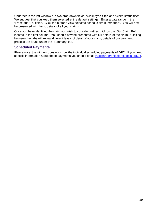Underneath the left window are two drop down fields: 'Claim type filter' and 'Claim status filter'. We suggest that you keep them selected at the default settings. Enter a date range in the 'From' and 'To' fields. Click the button "View selected school claim summaries". You will now be presented with basic details of all your claims.

Once you have identified the claim you wish to consider further, click on the 'Our Claim Ref' located in the first column. You should now be presented with full details of the claim. Clicking between the tabs will reveal different levels of detail of your claim; details of our payment process are found under the 'Summary' tab.

#### **Scheduled Payments**

Please note: the window does not show the individual scheduled payments of DFC. If you need specific information about these payments you should email [va@partnershipsforschools.org.uk.](mailto:va@partnershipsforschools.org.uk)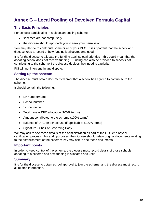# <span id="page-29-0"></span>**Annex G – Local Pooling of Devolved Formula Capital**

#### **The Basic Principles**

For schools participating in a diocesan pooling scheme:

- schemes are not compulsory
- the diocese should approach you to seek your permission

You may decide to contribute some or all of your DFC. It is important that the school and diocese keep a record of how funding is allocated and used.

It is for the diocese to allocate the funding against local priorities – this could mean that the donating school does not receive funding. Funding can also be provided to schools not contributing to the scheme if the diocese decides their need is a priority.

PfS will not intervene in any dispute.

#### **Setting up the scheme**

The diocese must obtain documented proof that a school has agreed to contribute to the scheme.

It should contain the following:

- LA number/name
- School number
- School name
- Total in-year DFC allocation (100% terms)
- Amount contributed to the scheme (100% terms)
- Balance of DFC for school use (if applicable) (100% terms)
- Signature Chair of Governing Body

We may ask to see these details of the administration as part of the DFC end of year certification process. For audit purposes, the diocese should retain original documents relating to the establishment of the scheme; PfS may ask to see these documents.

#### **Important points**

In order to keep control of the scheme, the diocese must record details of those schools donating to a scheme and how funding is allocated and used.

#### **Summary**

It is for the diocese to obtain school approval to join the scheme, and the diocese must record all related information.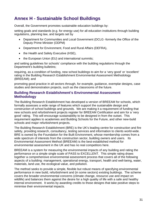# <span id="page-30-0"></span>**Annex H - Sustainable School Buildings**

Overall, the Government promotes sustainable education buildings by:

setting goals and standards (e.g. for energy use) for all education institutions through building regulations, planning law, and targets set by

- Department for Communities and Local Government (DCLG -formerly the Office of the Deputy Prime Minister (ODPM)
- Department for Environment, Food and Rural Affairs (DEFRA),
- the Health and Safety Executive (HSE),
- the European Union (EU) and international summits;

and setting guidelines for schools' compliance with the building regulations through the Department's building bulletins;

requiring, as a condition of funding, new school buildings to aim for a 'very good' or 'excellent' rating in the Building Research Establishment Environmental Assessment Methodology (BREEAM); and

promoting good practice in all sectors through, for example, guidance, exemplar designs, case studies and demonstration projects, such as the classrooms of the future.

#### **Building Research Establishment's Environmental Assessment Methodology**

The Building Research Establishment has developed a version of BREEAM for schools, which formally assesses a wide range of features which support the sustainable design and construction of school buildings and grounds. We are making it a requirement of funding that new schools and refurbishment projects register for BREEAM Certification and aim for a 'very good' rating. This will encourage sustainability to be designed in from the outset. This requirement applies to academies and Building Schools for the Future, and other new-build schools and major refurbishment projects.

The Building Research Establishment (BRE) is the UK's leading centre for construction and fire safety, providing research, consultancy, testing services and information to clients world-wide. BRE is owned by the Foundation for the Built Environment, whose membership comes from a wide spectrum of interests from the construction sector, building owners and users. Its Environmental Assessment Method (BREEAM) is the best-established method for environmental assessment in the UK and has no real competitors here.

BREEAM is a system for measuring the environmental impacts of any building and rating the performance on a simple single scale of PASS to EXCELLENT. This simple rating draws together a comprehensive environmental assessment process that covers all of the following aspects of a building: management, operational energy, transport, health and well-being, water, materials, land use, the ecological value, and pollution.

The method seeks to provide a simple, flexible but robust means of specifying environmental performance in new build, refurbishment and (in some sectors) existing buildings. The scheme covers the broader environmental concerns (climate change, resource use and impact on wildlife) and balances them against the desire for a high quality of life with a safe and healthy internal environment. It works by awarding credits to those designs that take positive steps to minimise their environmental impacts.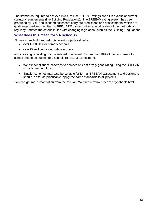The standards required to achieve PASS to EXCELLENT ratings are all in excess of current statutory requirements (like Building Regulations). The BREEAM rating system has been produced by BRE and licensed assessors carry out predictions and assessments, which are quality-assured and certified by BRE. BRE carries out an annual review of the methods and regularly updates the criteria in line with changing legislation, such as the Building Regulations.

#### **What does this mean for VA schools?**

All major new build and refurbishment projects valued at:

- over £500,000 for primary schools
- over £2 million for secondary schools

and involving rebuilding or complete refurbishment of more than 10% of the floor area of a school should be subject to a schools BREEAM assessment.

- We expect all these schemes to achieve at least a very good rating using the BREEAM schools methodology.
- Smaller schemes may also be suitable for formal BREEAM assessment and designers should, as far as practicable, apply the same standards to all projects.

You can get more information from the relevant Website at [www.breeam.org/schools.html.](http://www.breeam.org/schools.html)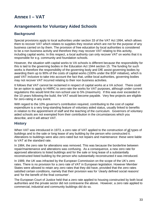# <span id="page-32-0"></span>**Annex I – VAT**

### **Arrangements for Voluntary Aided Schools**

### **Background**

Special provisions apply to local authorities under section 33 of the VAT Act 1994, which allows them to recover VAT which relates to supplies they receive which are not for the purpose of any business carried on by them. The provision of free education by local authorities is considered to be a non business activity and therefore they may recover VAT relating to this activity, including capital works. In this respect, a local authority can only recover VAT on works that it is responsible for e.g. community and foundation schools.

However, the situation with capital works to VA schools is different because the responsibility for this is laid to the governing bodies in the Education Act 1944 section 15. The funding for such works is therefore the responsibility of the governing body and DfE assist governing bodies by awarding them up to 90% of the costs of capital works (100% under the BSF initiative), which is paid VAT inclusive to take into account the fact that, unlike local authorities, governing bodies may not recover VAT incurred relating to their non business activities.

It follows that VAT cannot be reclaimed in respect of capital works at a VA school. There could be an option to apply to HMRC to zero-rate the works for VAT purposes, although under current regulations this would limit the non-school use to 5% (maximum). If this was ever exceeded in the 10 years following the build, the VAT would become payable. Very few projects are eligible for zero-rating in any event.

With regard to the 10% governor's contribution required, contributing to the cost of capital expenditure is a very long-standing feature of voluntary aided status, usually linked to benefits in relation to the appointment of staff and the teaching of the curriculum. Governors of voluntary aided schools are not exempted from their contribution in the circumstances which you describe, and it will attract VAT.

#### **History**

When VAT was introduced in 1973, a zero rate of VAT applied to the construction of all types of buildings and to the sale or long lease of any building by the person who constructed it. Alterations to buildings were also zero-rated but not repairs and maintenance: these were liable to VAT at the standard rate.

In 1984, the zero rate for alterations was removed. This was because the borderline between repair/maintenance and alterations was confusing. As a consequence, a new zero rate for approved alterations to listed buildings and for the sale or long lease of a substantially reconstructed listed building by the person who substantially reconstructed it was introduced.

In 1989, the UK was infracted by the European Commission on the scope of the UK's zero rates. There is no provision for a zero rate of VAT in European legislation. However Member States were allowed to retain any zero rates that they did have, provided that the zero rates satisfied certain conditions, namely that their provision was for 'clearly defined social reasons' and 'for the benefit of the final consumer'.

The European Court of Justice held that a zero rate applied to housing constructed by both local authorities and the private sector did not contravene the above. However, a zero rate applied to commercial, industrial and community buildings did do so.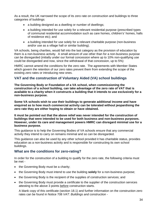As a result, the UK narrowed the scope of its zero rate on construction and buildings to three categories of buildings:

- a building designed as a dwelling or number of dwellings:
- a building intended for use solely for a relevant residential purpose (prescribed types of communal residential accommodation such as care homes, children's' homes, halls of residence etc); and
- a building intended for use solely for a relevant charitable purpose (non-business and/or use as a village hall or similar building).

VA schools, being charities, would fall into the last category as the provision of education by them is a non-business activity. A small amount of use other than for a non-business purpose can be disregarded (initially under our formal concession where up to 10% non-qualifying use could be disregarded and now, since the withdrawal of that concession, up to 5%)

HMRC cannot amend the conditions for the zero rate. The agreements with Member States which govern the retention of our zero rates prevent them from extending the scope of the existing zero rates or introducing new ones.

#### **VAT and the construction of Voluntary Aided (VA) school buildings**

**The Governing Body or Foundation of a VA school, when commissioning the construction of a school building, can take advantage of the zero rate of VAT that is available to a charity when it constructs a building that it intends to use exclusively for a non-business purpose.**

**Some VA schools wish to use their buildings to generate additional income and have enquired as to how much commercial activity can be tolerated without jeopardising the zero rate they are either hoping to obtain or have obtained.**

**It must be pointed out that the above relief was never intended for the construction of buildings that were intended to be used for both business and non-business purposes. However, under its care and management powers HMRC can disregard minimal use for a business purpose.** 

This guidance is to help the Governing Bodies of VA schools ensure that any commercial activity they intend to carry on remains minimal and so can be disregarded.

This guidance can also be used by any other school provided it has charitable status, provides education as a non-business activity and is responsible for constructing its own school buildings.

#### **What are the conditions for zero-rating?**

In order for the construction of a building to qualify for the zero rate, the following criteria must be met -

- the Governing Body must be a charity;
- the Governing Body must intend to use the building **solely** for a non-business purpose;
- the Governing Body is the recipient of the supplies of construction services; and
- the Governing Body must provide a certificate to the supplier of the construction services attesting to the above 3 points before construction starts.

A blank copy of this certificate (section 18.1) and further information on the construction zero rates can be found in Notice 708 *VAT: Buildings and construction -*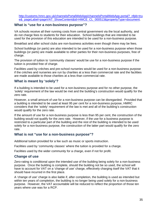[http://customs.hmrc.gov.uk/channelsPortalWebApp/channelsPortalWebApp.portal?\\_nfpb=tru](http://customs.hmrc.gov.uk/channelsPortalWebApp/channelsPortalWebApp.portal?_nfpb=true&_pageLabel=pageVAT_ShowContent&id=HMCE_CL_000513&propertyType=document) [e&\\_pageLabel=pageVAT\\_ShowContent&id=HMCE\\_CL\\_000513&propertyType=document.](http://customs.hmrc.gov.uk/channelsPortalWebApp/channelsPortalWebApp.portal?_nfpb=true&_pageLabel=pageVAT_ShowContent&id=HMCE_CL_000513&propertyType=document)

#### **What is "use for a non-business purpose"?**

VA schools receive all their running costs from central government via the local authority, and do not charge fees to students for their education. School buildings that are intended to be used for the provision of this education are intended to be used for a non-business purpose.

Breakfast and after school clubs are non-business activities even though there may be fees.

School buildings (or parts) are also intended to be used for a non-business purpose when those buildings (or parts) are made available to other parties for their non-business purposes, free of charge.

The provision of tuition to 'community classes' would be use for a non-business purpose if the tuition is provided free of charge.

Facilities used by crèches and pre-school nurseries would be used for a non-business purpose if the crèches and nurseries are run by charities at a less than commercial rate and the facilities are made available to those charities at a less than commercial rate.

#### **What is meant by 'solely'?**

If a building is intended to be used for a non-business purpose and for no other purpose, the 'solely' requirement of the law would be met and the building's construction would qualify for the zero rate.

However, a small amount of use for a non-business purpose can be disregarded. Provided that a building is intended to be used at least 95 per cent for a non-business purpose, HMRC considers that the 'solely' requirement of the law is met and all of the building's construction would qualify for the zero rate.

If the amount of use for a non-business purpose is less than 95 per cent, the construction of the building would not qualify for the zero rate. However, if the use for a business purpose is restricted to a particular part of the building and the rest of the building is intended to be used solely for a non-business purpose, the construction of the latter part would qualify for the zero rate.

#### **What is not "use for a non-business purpose"?**

Additional tuition provided for a fee such as music or sports instruction.

Facilities used by 'community classes' where the tuition is provided for a charge.

Facilities used by the wider community for a charge, even if not for profit.

#### **Change of use**

Zero-rating is conditional upon the intended use of the building being solely for a non-business purpose. Once the building is complete, should the building not be so used, the school will have to account for VAT on a 'change of use' charge, effectively charging itself the VAT that it should have incurred in the first place.

A 'change of use' charge is also liable if, after completion, the building is used as intended but within ten years of completion, the building is no longer being used solely for a non-business purpose. However, the VAT accountable will be reduced to reflect the proportion of those ten years where use was for a RCP.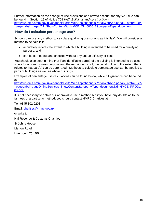Further information on the change of use provisions and how to account for any VAT due can be found in Section 19 of Notice 708 *VAT: Buildings and construction*  [http://customs.hmrc.gov.uk/channelsPortalWebApp/channelsPortalWebApp.portal?\\_nfpb=true&](http://customs.hmrc.gov.uk/channelsPortalWebApp/channelsPortalWebApp.portal?_nfpb=true&_pageLabel=pageVAT_ShowContent&id=HMCE_CL_000513&propertyType=document) pageLabel=pageVAT\_ShowContent&id=HMCE\_CL\_000513&propertyType=document.

#### **How do I calculate percentage use?**

Schools can use any method to calculate qualifying use so long as it is 'fair'. We will consider a method to be 'fair' if it:

- accurately reflects the extent to which a building is intended to be used for a qualifying purpose; and
- can be carried out and checked without any undue difficulty or cost.

You should also bear in mind that if an identifiable part(s) of the building is intended to be used solely for a non-business purpose and the remainder is not, the construction to the extent that it relates to that part(s) can be zero-rated. Methods to calculate percentage use can be applied to parts of buildings as well as whole buildings.

Examples of percentage use calculations can be found below, while full guidance can be found at:

[http://customs.hmrc.gov.uk/channelsPortalWebApp/channelsPortalWebApp.portal?\\_nfpb=true&](http://customs.hmrc.gov.uk/channelsPortalWebApp/channelsPortalWebApp.portal?_nfpb=true&_pageLabel=pageOnlineServices_ShowContent&propertyType=document&id=HMCE_PROD1_030535) pageLabel=pageOnlineServices\_ShowContent&propertyType=document&id=HMCE\_PROD1 [030535](http://customs.hmrc.gov.uk/channelsPortalWebApp/channelsPortalWebApp.portal?_nfpb=true&_pageLabel=pageOnlineServices_ShowContent&propertyType=document&id=HMCE_PROD1_030535)

It is not necessary to obtain our approval to use a method but if you have any doubts as to the fairness of a particular method, you should contact HMRC Charities at:

Tel: 0845 302 0203

Email: [charities@hmrc.gov.uk](mailto:charities@hmrc.gov.uk)

or write to:

HM Revenue & Customs Charities

St Johns House

Merton Road

Liverpool L75 1BB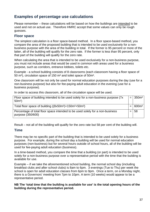### **Examples of percentage use calculations**

Please remember – these calculations will be based on how the buildings are intended to be used and not on actual use. Therefore HMRC accept that some values can only be rough guesses.

#### **Floor space**

The simplest calculation is a floor space-based method. In a floor space-based method, you compare the area of the proposed building that is intended to be used exclusively for a nonbusiness purpose with the area of the building in total. If the former is 95 percent or more of the latter, all of the building will qualify for the zero rate. If the former is less than 95 percent, only that part of the building will qualify for the zero rate.

When calculating the area that is intended to be used exclusively for a non-business purpose, you must not include areas that would be used in common with areas used for a business purpose, such as corridors, entrance lobbies, toilets etc.

Example - a school building consists of 8 classrooms (each classroom having a floor space of 50 m²), circulation space of 150 m² and toilet space of 50m².

One classroom will be not only be used for normal education purposes during the day (use for a non-business purpose) but also for fee-paying adult education in the evening (use for a business purpose).

In order to access this classroom, all of the circulation space will be used.

| Floor space of building intended to be used solely for a non-business purpose (7x)<br>$50m^2$ )    | $=$ | 1350m <sup>2</sup> |
|----------------------------------------------------------------------------------------------------|-----|--------------------|
| Total floor space of building ((8x50m <sup>2</sup> )+150m <sup>2</sup> +50m <sup>2</sup> )         |     | 600m <sup>2</sup>  |
| Percentage of total floor space intended to be used solely for a non-business<br>purpose (350/600) |     | 58                 |

Result – not all of the building will qualify for the zero rate but 58 per cent of the building will.

#### **Time**

There may be no specific part of the building that is intended to be used solely for a business purpose. For example, during the school day a building will be used for normal education purposes (non-business) but for several hours outside of school hours, all of the building will be used for fee-paying adult education (business).

In a time-based method, you compare the time that a building (or part) is intended to be used solely for a non-business purpose over a representative period with the time that the building is available for use.

Example – if we take the aforementioned school building, the normal school day (including breakfast clubs and after school clubs) is 8am to 6pm. 3 evenings (Tue to Thu) per week the school is open for adult education classes from 6pm to 9pm. Once a term, on a Monday night, there is a Governors' meeting from 7pm to 10pm. A term (10 weeks) would appear to be a representative period.

**NB The 'total time that the building is available for use' is the total opening hours of the building during the representative period.**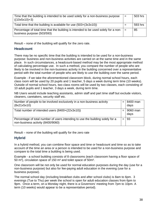| Time that the building is intended to be used solely for a non-business purpose<br>$((10x5x10)+3)$                          | $=$ | 503 hrs |
|-----------------------------------------------------------------------------------------------------------------------------|-----|---------|
| Total time that the building is available for use (503+(3x3x10))                                                            |     | 593 hrs |
| Percentage of total time that the building is intended to be used solely for a non- $\vert$ =<br>business purpose (503/593) |     | 85      |

Result – none of the building will qualify for the zero rate.

#### **Headcount**

There may be no specific time that the building is intended to be used for a non-business purpose: business and non-business activities are carried on at the same time and in the same place. In such circumstances, a headcount-based method may be the most appropriate method of calculating percentage use. In such a method, you compare the number of people who are likely to be involved in the non-business activity in the building concerned over a representative period with the total number of people who are likely to use the building over the same period.

Example - if we take the aforementioned classroom block, during normal school hours, each class room will be used by 20 pupils and 1 teacher, 5 days a week during term time (10 weeks). Outside of normal school hours, two class rooms will be used by two classes, each consisting of 10 adult pupils and 1 teacher, 3 days a week, during term time.

NB Users would include teaching assistants, admin staff and part time staff but exclude visitors, cleaners, caretakers, security staff etc.

| Number of people to be involved exclusively in a non-business activity<br>(8x21x5x10)                               | $=$ | 8400 man<br>days |
|---------------------------------------------------------------------------------------------------------------------|-----|------------------|
| Total number of intended users (8400+(22x3x10))                                                                     | $=$ | 9060 man<br>days |
| Percentage of total number of users intending to use the building solely for a<br>non-business activity (8400/9060) |     | 93               |

Result – none of the building will qualify for the zero rate

#### **Hybrid**

In a hybrid method, you can combine floor space and time or headcount and time so as to take account of the time an area or a person is intended to be used for a non-business purpose and compare to the total time a building is being used.

Example - a school building consists of 8 classrooms (each classroom having a floor space of 50 m²), circulation space of 150 m² and toilet space of 50m².

One classroom will be not only be used for normal education purposes during the day (use for a non-business purpose) but also for fee-paying adult education in the evening (use for a business purpose).

The normal school day (including breakfast clubs and after school clubs) is 8am to 6pm. 3 evenings (Tue to Thu) per week the school is open for adult education classes from 6pm to 9pm. Once a term, on a Monday night, there is a Governors' meeting from 7pm to 10pm. A term (10 weeks) would appear to be a representative period).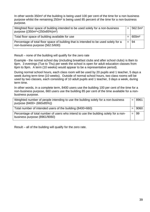In other words 350m² of the building is being used 100 per cent of the time for a non business purpose whilst the remaining 250m² is being used 85 percent of the time for a non-business purpose.

| Weighted floor space of building intended to be used solely for a non-business<br>purpose ((350m <sup>2</sup> +(250x85%)m <sup>2</sup> ) | $=$ | 562.5m <sup>2</sup> |
|------------------------------------------------------------------------------------------------------------------------------------------|-----|---------------------|
| Total floor space of building available for use                                                                                          |     | 600m <sup>2</sup>   |
| Percentage of total floor space of building that is intended to be used solely for a<br>non-business purpose (562.5/600)                 |     | ∣94                 |

Result – none of the building will qualify for the zero rate

Example - the normal school day (including breakfast clubs and after school clubs) is 8am to 6pm. 3 evenings (Tue to Thu) per week the school is open for adult education classes from 6pm to 9pm. A term (10 weeks) would appear to be a representative period).

During normal school hours, each class room will be used by 20 pupils and 1 teacher, 5 days a week during term time (10 weeks). Outside of normal school hours, two class rooms will be used by two classes, each consisting of 10 adult pupils and 1 teacher, 3 days a week, during term time.

In other words, in a complete term, 8400 users use the building 100 per cent of the time for a non-business purpose, 660 users use the building 85 per cent of the time available for a nonbusiness purpose.

| Weighted number of people intending to use the building solely for a non-business<br>purpose (8400+ (660x85%))       | 8961 |
|----------------------------------------------------------------------------------------------------------------------|------|
| Total number of intended users of the building (8400+660)                                                            | 9060 |
| Percentage of total number of users who intend to use the building solely for a non-<br>business purpose (8961/9060) | -99  |

Result – all of the building will qualify for the zero rate.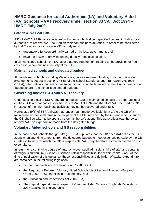### **HMRC Guidance for Local Authorities (LA) and Voluntary Aided (VA) Schools – VAT recovery under section 33 VAT Act 1994 – HMRC July 2009**

#### **Section 33 VAT Act 1994**

S33 of VAT Act 1994 is a special refund scheme which allows specified bodies, including local authorities, to recover VAT incurred on their non-business activities. In order to be considered by HM Treasury for inclusion in s33, a body must:

- undertake a function ordinarily carried on by local government; and
- have the power to draw its funding directly from local taxation.

In all maintained schools, the LA has a statutory requirement relating to the provision of free education, a non-business activity of the LA.

#### **Maintained schools and delegated budget**

All maintained schools, including VA schools, receive recurrent funding from their LA under arrangements set out in sections 45-53 of the School Standards and Framework Act 1998 (SSFA), which allows that every maintained school shall be financed by their LA by means of a "budget share" (the school's delegated budget).

#### **Governing bodies (GB) and VAT recovery**

Under section 36(1) of SSFA, governing bodies (GB) of maintained schools are separate legal entities. GBs are not bodies specified in s33 VAT Act 1994 and therefore VAT incurred by GBs in respect of their non-business activities may not be recovered under s33.

However, s49(5) of SSFA allows that "any amount made available" by a LA to the GB of a maintained school shall remain the property of the LA until spent by the GB and when spent by the GB shall be taken to be spent by them as the LA's agent. This generally allows the LA to recover VAT on expenditure made from the delegated budget.

#### **Voluntary Aided schools and GB responsibilities**

In the case of VA schools though, s49 (6) SSFA stipulates that the GB does **not** act as the LA's agent when spending amounts from the delegated budget to meet expenses payable by the GB in relation to work for which the GB is responsible. VAT may therefore not be recovered on such expenditure.

In return for a continuing degree of autonomy over pupil admissions, hire of staff and contents of religious curriculum, GBs of VA schools retain responsibility for certain capital work. At the time of publication of this guidance, these responsibilities and definition of capital expenditure are contained in the following legislation:-

- School Standards and Framework Act 1998 (SSFA)
- the Regulatory Reform (Voluntary Aided Schools Liabilities and Funding) (England) Order 2002 (RRO) (applies in England only) and
- the Education and Inspections Act 2006 (EIA)
- The Capital Expenditure in respect of Voluntary Aided Schools (England) Regulations 2007 (applies in England only)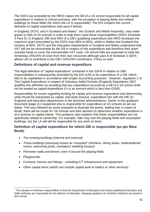The SSFA (as amended by the RRO) makes the GB of a VA school responsible for all capital expenditure in relation to school premises, with the exception of playing fields and related buildings on those fields (for which the LA is responsible). The EIA contains the current definition of capital expenditure (see para 5 below).

In England, DCFS, and in Scotland and Wales<sup>[1](#page-40-0)</sup>, the Scottish and Welsh Assembly, may make grants to GBs of VA schools in order to help them meet these responsibilities (SSFA Schedule 3 Para 5). In England, DfE fund 90% of a GB's qualifying expenditure (the RRO increased the maximum grant prescribed by the SSFA from 85% to 90%), whilst in Wales and Scotland this remains at 85%. DCFS and the Education Departments in Scotland and Wales understand that VAT will not be recoverable by the GB in respect of this expenditure and therefore their grant includes funds to cover the irrecoverable VAT costs. VA school GBs are expected to meet the remaining 10%/15% of costs from their own resources although para 8 of Schedule 3 SSFA allows LAs to contribute to the GB's 10%/15% contribution, if they so wish.

#### **Definitions of capital and revenue expenditure**

The legal definition of "capital expenditure" contained in the SSFA in relation to GBs' responsibilities is subsequently amended by the EIA (s35) to be expenditure of a GB "which falls to be capitalised in accordance with proper accounting practices". However, regulation 2 of The Capital Expenditure in respect of Voluntary Aided Schools (England) Regulations 2007 qualifies this definition by providing that any expenditure incurred by a GB of a VA school shall not be treated as capital expenditure if it is an amount which is less than £2000.

Responsibility for issues regarding funding for capital and revenue expenditure and determining what should be interpreted as capital, and what revenue, expenditure lies with the DfE (in England) and education departments in the devolved administrations. Earlier in this guidance document (page 4) it explained who is responsible for expenditure at VA schools as set out below. This was followed by some examples to illustrate the points, adding that, in cases of doubt, there will be scope for VA schools and their advisers to determine whether expenditure is of a revenue or capital nature. This guidance also explains that these responsibilities are not specifically related to ownership. For example, GBs may own the playing fields and associated buildings, but the LA will still be responsible for any work on them.

#### **Definition of capital expenditure for which GB is responsible (as per Blue Book)**

- The existing buildings (internal and external)
- Those buildings previously known as "excepted" (Kitchens, dining areas, medical/dental rooms, swimming pools, caretakers' dwelling houses)
- Perimeter walls and fences, even if around the playing fields
- Playgrounds
- Furniture, fixtures and fittings including ICT infrastructure and equipment
- Other capital items (which can include capital work to boilers or other services)

<span id="page-40-0"></span> $1$  The situation in Northern Ireland differs in that the Department of Education and newly established Education and Skills Authority are responsible for the delivery of education. Separate guidance for Northern Ireland to be issued in due course.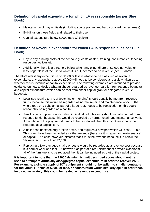#### **Definition of capital expenditure for which LA is responsible (as per Blue Book)**

- Maintenance of playing fields (including sports pitches and hard surfaced games areas)
- Buildings on those fields and related to their use
- Capital expenditure below £2000 (see C) below)

#### **Definition of Revenue expenditure for which LA is responsible (as per Blue Book)**

- Day to day running costs of the school e.g. costs of staff, training, consumables, teaching resources, utilities etc
- Additionally, there is a threshold below which any expenditure of £2,000 net value or less, regardless of the use to which it is put, deemed to be revenue (see B) above)

Therefore whilst any expenditure of £2000 or less is always to be classified as revenue expenditure, any expenditure above £2000 will need to be considered and a view taken as to whether this is revenue or capital expenditure. The following examples are intended to provide guidance on how to decide what might be regarded as revenue (paid for from revenue budgets) and capital expenditure (which can be met from either capital grant or delegated revenue budgets).

- Localised repairs to a roof (patching or mending) should usually be met from revenue funds, because this would be regarded as normal repair and maintenance work. If the whole roof, or a substantial part of a large roof, needs to be replaced, then this could reasonably be regarded as a capital.
- Small repairs to playgrounds (filling individual potholes etc.) should usually be met from revenue funds, because this would be regarded as normal repair and maintenance work. If the whole of the playground needs to be resurfaced, then this might reasonably be regarded as a capital item.
- A boiler has unexpectedly broken down, and requires a new part which will cost £1,800. This could have been regarded as either revenue (because it is repair and maintenance) or capital. The cost, however, dictates that it must be revenue because it is below the 'de minimis' threshold of £2,000.
- Replacing a few damaged chairs or desks would be regarded as a revenue cost because it is normal wear and tear. If, however, as part of a refurbishment of a whole classroom, all of the furniture is to be replaced then it can be included as part of the capital project.

**It is important to note that the £2000 de minimis limit described above should not be used to attempt to artificially disaggregate capital expenditure in order to recover VAT. For example, a single supply of ICT equipment should not be split into smaller contracts for individual IT items of £2000 or less, or construction works similarly split, in order that, invoiced separately, this could be treated as revenue expenditure.**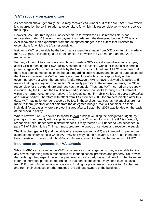#### **VAT recovery on expenditure**

As described above, generally the LA may recover VAT (under s33 of the VAT Act 1994), where it is incurred by the LA in relation to expenditure for which it is responsible i.e. where it receives the supply.

However, VAT incurred by a GB on expenditure for which the GB is responsible is not recoverable under s33, even when payment is made from the delegated budget. VAT is only ever recoverable on expenditure from the delegated budget to the extent that it relates to expenditure for which the LA is responsible.

Neither is VAT recoverable by the LA on any expenditure made from DfE grant funding made to the GB. Again, this is designated for expenditure for which the GB, rather than the LA, is responsible.

Further, although LAs commonly contribute towards a GB's capital expenditure, for example, to assist GBs in meeting their own 10/15% contribution for capital works, or to subsidise certain projects, again VAT is not recoverable by the LA on such contributions. HMRC recognise that there has been some confusion in the past regarding such recovery and have, to date, accepted that LAs can recover the VAT incurred on expenditure which is the responsibility of the governing body but which the authority funds. However, HMRC have reviewed this policy and realise that it goes beyond what section 33 actually permits. In these arrangements, the GB is responsible for the expenditure and receives the supply. Thus, any VAT incurred on the supply is incurred by the GB, not the LA. This revised guidance now seeks to bring such treatment within the normal rules for VAT recovery for LAs as set out in Public Notice 749 *Local authorities and similar bodies*. Therefore with effect from 1 September 2009, for projects initiated after this date, VAT may no longer be recovered by LAs in these circumstances, as the supplies are not made to them (whether or not paid from the delegated budget). We will consider, on their individual facts, cases where a project initiated after 1 September 2009 was funded on the basis of the previous policy.

Where however, an LA decides to spend its own funds (excluding the delegated budget), by placing an order directly with a supplier on work to a VA school for which the GB is statutorily responsible then, under certain circumstances, it may recover VAT under s33 as described in para 7.1 of Public Notice 749 i.e. it must procure the goods or services and receive the supply.

The flow chart (page 13) and the table of examples (pages 14-17) are intended to give further guidance on circumstances when VAT may and may not be recovered, but are not intended to be exhaustive. In cases of doubt, GBs or LAs are advised to discuss the matter with HMRC.

#### **Insurance arrangements for VA schools**

Whilst HMRC can advise on the VAT consequences of arrangements, they are unable to give any advice regarding who is responsible for insuring school premises and property. DfE advise that, although they expect the school premises to be insured, the actual detail of what to insure is for the individual parties to determine. In that context the school may need to seek advice from DfE, their LAs, especially in relation to funding for premiums and access to LA schemes, and from their Dioceses or other trustees (the ultimate owners of the buildings).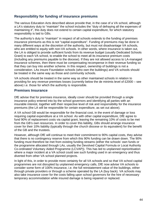#### **Responsibility for funding of insurance premiums**

The various Education Acts described above provide that, in the case of a VA school, although a LA's statutory duty to "maintain" the school includes the "duty of defraying all the expenses of maintaining it", this duty does not extend to certain capital expenditure, for which statutory responsibility is laid to GBs.

The authority's duty to "maintain" in respect of all schools extends to the funding of premises insurance premiums as this is not "capital expenditure". Funding of premiums may be done in many different ways at the discretion of the authority, but must not disadvantage VA schools, who are entitled to equity with non-VA schools. In other words, where insurance is taken out, the LA is obliged to provide sufficient funds from its revenue budget (usually Dedicated Schools Grant) to each VA school, to enable the school to meet all its insurance premium costs (including any premiums payable to the diocese). If they are not allowed access to LA-managed insurance schemes, then there must be compensating recompense in their revenue funding so that they can buy into another scheme. In this respect, ownership of buildings is not a consideration. LAs insure Foundation schools (who own the buildings) and VA schools should be treated in the same way as those and community schools.

VA schools should be treated in the same way as other maintained schools in relation to providing for any *revenue* premises losses (currently below the de minimis level of £2000 – see above) i.e. those for which the authority is responsible.

#### **Premises Insurance**

DfE advise that for premises insurance, ideally cover should be provided through a single insurance policy entered into by the school governors and identifying all parties with an insurable interest, together with their respective level of risk and responsibility for the insurance premiums (the LA will be responsible for certain expenditure, as set out above).

A VA school GB would be responsible for the financial cost, in the event of damage or loss requiring capital expenditure at a VA school. As with other capital expenditure, DfE agree to fund 90% of replacement costs via capital grant, leaving the remaining 10% of costs to be met from the GB's own resources. In order to cover this liability, GBs should arrange insurance cover for their 10% liability (typically through the church diocese or its equivalent) for the benefit of the GB and the trustees.

However, although DfE will continue to meet their commitment to 90% capital costs, they advise that there is no contingency reserve from which this 90% funding can be drawn down. The 90% funding must therefore be met from existing funding streams (either the schools' own funds or the programme allocated through LAs, usually the Devolved Capital Formula or Local Authority Co-ordinated Voluntary Aided Programme (LCVAP)). This has led to unplanned reprioritisation where a major incident at a VA school could see such funding used in an emergency and thus diverted from other VA school planned projects.

In light of this, in order to provide more certainty for all VA schools and so that VA school capital programmes are not disrupted by unplanned emergency calls, DfE now advise VA schools to consider some form of 100% insurance, i.e. the full reinstatement value of the buildings, either through private providers or through a scheme operated by the LA (buy back). VA schools may also take insurance cover for the costs falling upon school governors for the hire of necessary temporary accommodation while insured damage is being repaired or replaced.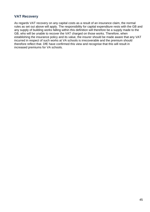#### **VAT Recovery**

As regards VAT recovery on any capital costs as a result of an insurance claim, the normal rules as set out above will apply. The responsibility for capital expenditure rests with the GB and any supply of building works falling within this definition will therefore be a supply made to the GB, who will be unable to recover the VAT charged on those works. Therefore, when establishing the insurance policy and its value, the insurer should be made aware that any VAT incurred in respect of such works at VA schools is irrecoverable and the premium should therefore reflect that. DfE have confirmed this view and recognise that this will result in increased premiums for VA schools.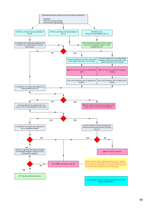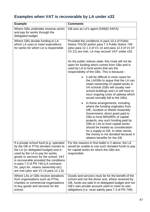# **Examples when VAT is recoverable by LA under s33**

| <b>Example</b>                                                                                                                                                                                                                                                                                                                                                        | <b>Comments</b>                                                                                                                                                                                                                                                                                                                                                                                              |
|-----------------------------------------------------------------------------------------------------------------------------------------------------------------------------------------------------------------------------------------------------------------------------------------------------------------------------------------------------------------------|--------------------------------------------------------------------------------------------------------------------------------------------------------------------------------------------------------------------------------------------------------------------------------------------------------------------------------------------------------------------------------------------------------------|
| Where GBs undertake revenue works<br>and pay for works through the<br>delegated budget                                                                                                                                                                                                                                                                                | GB acts as LA's agent (S49(5) SSFA)                                                                                                                                                                                                                                                                                                                                                                          |
| Where GBs donate funding to LA<br>which LA uses to meet expenditure<br>for works for which LA is responsible                                                                                                                                                                                                                                                          | Provided the conditions in para 10.4 of Public<br>Notice 701/30 and/or para 7.3 Public Notice 749<br>(also para 12.1.3 of V1-14 and para 12.3 of V1-07<br>Ch 21) are met, LA may recover VAT under s33.                                                                                                                                                                                                      |
|                                                                                                                                                                                                                                                                                                                                                                       | As the public notices state, this route will not be<br>open for funding which comes from GBs and is<br>used by LA to fund works that are the<br>responsibility of the GBs. This is because:-                                                                                                                                                                                                                 |
|                                                                                                                                                                                                                                                                                                                                                                       | it will be difficult in most cases for<br>the LA/GBs to argue that the LA can<br>retain ownership of capital works in<br>VA schools (GBs will usually own<br>school buildings and LA will have to<br>incur ongoing costs of upkeep which<br>would normally fall to the GBs)                                                                                                                                  |
|                                                                                                                                                                                                                                                                                                                                                                       | In these arrangements, including<br>where the funding originates from<br>DfE, Scottish or Welsh Assembly<br>Government, direct grant paid to<br>GBs to fund 90%/85% of capital<br>projects, any such funding paid by<br>GBs to LAs to fund capital works<br>should be treated as consideration<br>for a supply to GB. In other words,<br>the money is not donated because it<br>obtains benefits for the GB. |
| If a private school fund (e.g. operated<br>by the GB or PTA) donates monies to<br>the LA (or delegated budget) and is<br>used by the LA to pay for works,<br>goods or services for the school, VAT<br>is recoverable provided the conditions<br>in para 7.3 of PN 749 (LA contracts<br>for, pays for, retains ownership etc)<br>are met (also see V1-14 para 12.1.6). | For the reasons in first bullet in 2 above, the LA<br>would be unable to use such donated funds to pay<br>for capital works for which the GBs are<br>responsible.                                                                                                                                                                                                                                            |
| Where LAs or GBs receive donations<br>from organisations such as PTAs,<br>charities or commercial organisations<br>to buy goods and services for the<br>school.                                                                                                                                                                                                       | Goods and services must be for the benefit of the<br>school and not the donor and, where received by<br>GB, funds are paid in to delegated budget and not<br>GB's own private account used to meet its own<br>obligations (i.e. must satisfy para 7.3 of PN 749).                                                                                                                                            |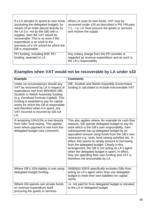| If a LA decides to spend its own funds<br>(excluding the delegated budget), by<br>means of an order placed directly by<br>the LA (i.e. not by the GB) with a<br>supplier, then the VAT would be<br>recoverable. This is so even if the<br>expenditure is on work to the<br>premises of a VA school for which the<br>GB is responsible. | When LA uses its own funds, VAT may be<br>recovered under s33 as described in PN 749 para<br>$7.1 - i.e.$ LA must procure the goods or services<br>and receive the supply |
|----------------------------------------------------------------------------------------------------------------------------------------------------------------------------------------------------------------------------------------------------------------------------------------------------------------------------------------|---------------------------------------------------------------------------------------------------------------------------------------------------------------------------|
| PFI funding, including BSF PFI<br>funding, awarded to LA                                                                                                                                                                                                                                                                               | Any unitary charge from the PFI provider is<br>regarded as revenue expenditure and as such is<br>the LA's responsibility                                                  |

# **Examples when VAT would not be recoverable by LA under s33**

| <b>Example</b>                                                                                                                                                                                                                                                                                                                                                      | <b>Comments</b>                                                                                                                                                                                                                                                                                                                                                                                                                                                                                                                                                                                                |
|---------------------------------------------------------------------------------------------------------------------------------------------------------------------------------------------------------------------------------------------------------------------------------------------------------------------------------------------------------------------|----------------------------------------------------------------------------------------------------------------------------------------------------------------------------------------------------------------------------------------------------------------------------------------------------------------------------------------------------------------------------------------------------------------------------------------------------------------------------------------------------------------------------------------------------------------------------------------------------------------|
| Under no circumstances should any<br>VAT be recovered by LA in respect of<br>expenditure met from 90%/85% DfE,<br>Scottish or Welsh Assembly funding<br>(e.g. Devolved Formula Capital). This<br>funding is awarded to pay for capital<br>works for which the GB is responsible<br>and therefore when it is spent, any<br>VAT incurred is incurred by GB not<br>LA. | DfE, Scottish and Welsh Assembly Government<br>funding is calculated to include irrecoverable VAT                                                                                                                                                                                                                                                                                                                                                                                                                                                                                                              |
| If remaining 10%/15% is met directly<br>from GBs' fund raising. This applies<br>even where payment is met from the<br>delegated budget (see comment)                                                                                                                                                                                                                | This also applies where, for example for cash flow<br>reasons, GB spends delegated budget to pay for<br>work which is the GB's own responsibility, then<br>subsequently top-up delegated budget by an<br>equivalent amount using funds from the GB's own<br>resources e.g. rents, fund raising activities etc. In<br>effect, this seems to simply amount to borrowing<br>from the delegated budget. Clearly in this<br>arrangement, the GB is not acting as LA's agent<br>when the delegated budget is spent. In effect,<br>they are spending their own funding and VAT is<br>therefore not recoverable by LA. |
| Where GB's 10% liability is met using<br>delegated budget funding                                                                                                                                                                                                                                                                                                   | S49(6)(b) SSFA specifically excludes GBs from<br>acting as LA's agent when they use delegated<br>budget to meet their own liabilities for capital<br>works                                                                                                                                                                                                                                                                                                                                                                                                                                                     |
| Where GB spends own private funds<br>on revenue expenditure itself<br>procuring the goods or services                                                                                                                                                                                                                                                               | i.e. not paid for from delegated budget or donated<br>to the LA or delegated budget                                                                                                                                                                                                                                                                                                                                                                                                                                                                                                                            |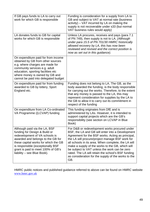| If GB pays funds to LA to carry out<br>work for which GB is responsible                                                                                                                                                                                                                 | Funding is consideration for a supply from LA to<br>GB and subject to VAT at normal rate (business<br>activity) – VAT incurred by LA on making the<br>supply is not recoverable under s33 (but normal<br>VAT business rules would apply)                                                                                                                                                                                                                                                  |
|-----------------------------------------------------------------------------------------------------------------------------------------------------------------------------------------------------------------------------------------------------------------------------------------|-------------------------------------------------------------------------------------------------------------------------------------------------------------------------------------------------------------------------------------------------------------------------------------------------------------------------------------------------------------------------------------------------------------------------------------------------------------------------------------------|
| LA donates funds to GB for capital<br>works for which GB is responsible                                                                                                                                                                                                                 | Unless LA procures, receives and pays (para 7.1)<br>of PN 749), then supply is not to LA. (Although<br>under para 15.5 of PN 701/30 HMRC historically<br>allowed recovery by LA, this has now been<br>reviewed and revised and the correct position is<br>now as set out in this guidance).                                                                                                                                                                                               |
| On expenditure paid for from income<br>obtained by GB from other sources<br>e.g. where charges are made for<br>community services e.g. adult<br>education, sporting facilities etc<br>where money is owned by GB and<br>cannot be paid into delegated budget                            |                                                                                                                                                                                                                                                                                                                                                                                                                                                                                           |
| On expenditure paid for from funding<br>awarded to GB by lottery, Sport<br>England etc.                                                                                                                                                                                                 | Funding does not belong to LA. The GB, as the<br>body awarded the funding, is the body responsible<br>for carrying out the works. Therefore, to the extent<br>that any money is passed to the LA, this may<br>represent consideration for supplies by the LA to<br>the GB to allow it to carry out its commitment in<br>respect of the funding                                                                                                                                            |
| On expenditure from LA Co-ordinated<br>VA Programme ((LCVAP) funding                                                                                                                                                                                                                    | This funding originates from DfE and is<br>administered by LAs. However, it is intended to<br>support capital projects which are the GB's<br>responsibility (see section on LCVAP in Blue<br>Book)                                                                                                                                                                                                                                                                                        |
| Although paid via the LA, BSF<br>funding for Design & Build or<br>redevelopment of VA schools is<br>awarded and belongs to the GB for<br>these capital works for which the GB<br>is responsible (exceptionally BSF<br>grant is paid to meet 100% of GB's<br>liability - see Blue Book). | For D&B or redevelopment works procured under<br>BSF, the LA and GB will enter into a Development<br>Agreement for the BSF works. Acting as principal,<br>the LA will procure/project manage BSF work for<br>all schools in its area. When complete, the LA will<br>make a supply of the works to the GB, which will<br>be subject to VAT unless the work can be zero<br>rated. The LA will retain the school's BSF funding<br>as consideration for the supply of the works to the<br>GB. |

HMRC public notices and published guidance referred to above can be found on HMRC website [www.hmrc.gov.uk](http://www.hmrc.gov.uk/)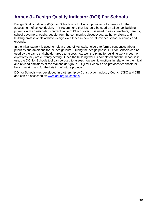# <span id="page-49-0"></span>**Annex J - Design Quality Indicator (DQI) For Schools**

Design Quality Indicator (DQI) for Schools is a tool which provides a framework for the assessment of school design. PfS recommend that it should be used on all school building projects with an estimated contract value of £1m or over. It is used to assist teachers, parents, school governors, pupils, people from the community, diocese/local authority clients and building professionals achieve design excellence in new or refurbished school buildings and grounds.

In the initial stage it is used to help a group of key stakeholders to form a consensus about priorities and ambitions for the design brief. During the design phase, DQI for Schools can be used by the same stakeholder group to assess how well the plans for building work meet the objectives they are currently setting. Once the building work is completed and the school is in use, the DQI for Schools tool can be used to assess how well it functions in relation to the initial and revised ambitions of the stakeholder group. DQI for Schools also provides feedback for benchmarking and for the briefing of future projects.

DQI for Schools was developed in partnership by Construction Industry Council (CIC) and DfE and can be accessed at: www.dgi.org.uk/schools .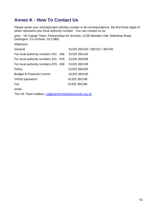# <span id="page-50-0"></span>**Annex K - How To Contact Us**

Please quote your school/project identity number in all correspondence, the first three digits of which represent your local authority number. You can contact us by:

post – VA Capital Team, Partnerships for Schools, LG36 Mowden Hall, Staindrop Road, Darlington, Co Durham, DL3 9BG

| telephone                             |                                |
|---------------------------------------|--------------------------------|
| General                               | 01325 392193 / 392152 / 392100 |
| For local authority numbers 201 - 356 | 01325 392145                   |
| For local authority numbers 201 - 878 | 01325 392458                   |
| For local authority numbers 879 - 938 | 01325 392149                   |
| Policy                                | 01325 392439                   |
| <b>Budget &amp; Financial Control</b> | 01325 392140                   |
| VASIS password                        | 01325 392196                   |
| Fax                                   | 01325 392186                   |
| email                                 |                                |

The VA Team mailbox; [va@partnershipsforschools.org.uk](mailto:va@partnershipsforschools.org.uk)